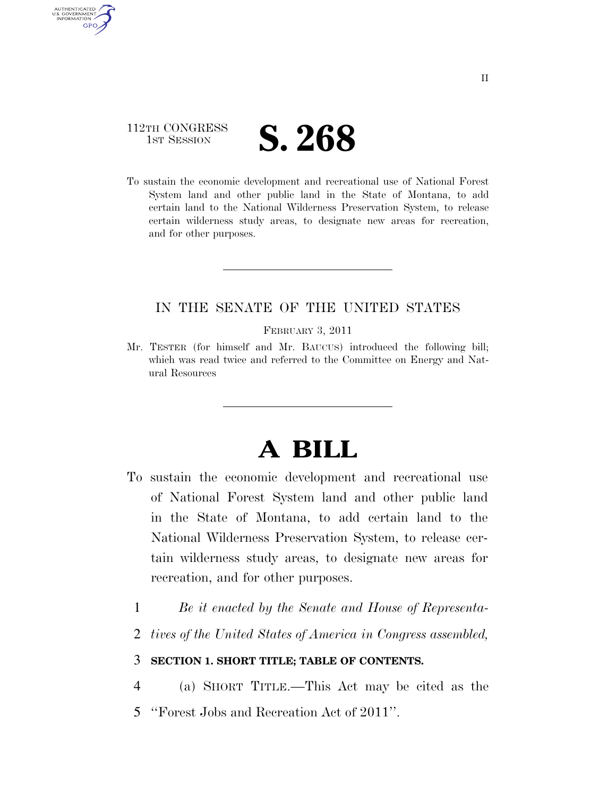

AUTHENTICATED U.S. GOVERNMENT **GPO** 

> To sustain the economic development and recreational use of National Forest System land and other public land in the State of Montana, to add certain land to the National Wilderness Preservation System, to release certain wilderness study areas, to designate new areas for recreation, and for other purposes.

### IN THE SENATE OF THE UNITED STATES

FEBRUARY 3, 2011

Mr. TESTER (for himself and Mr. BAUCUS) introduced the following bill; which was read twice and referred to the Committee on Energy and Natural Resources

# **A BILL**

- To sustain the economic development and recreational use of National Forest System land and other public land in the State of Montana, to add certain land to the National Wilderness Preservation System, to release certain wilderness study areas, to designate new areas for recreation, and for other purposes.
	- 1 *Be it enacted by the Senate and House of Representa-*
	- 2 *tives of the United States of America in Congress assembled,*

### 3 **SECTION 1. SHORT TITLE; TABLE OF CONTENTS.**

- 4 (a) SHORT TITLE.—This Act may be cited as the
- 5 ''Forest Jobs and Recreation Act of 2011''.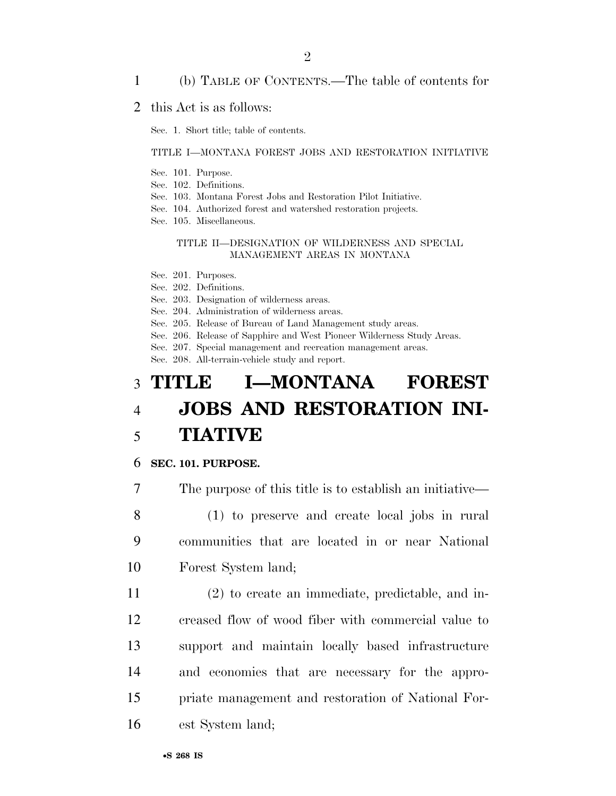#### 1 (b) TABLE OF CONTENTS.—The table of contents for

#### 2 this Act is as follows:

Sec. 1. Short title; table of contents.

#### TITLE I—MONTANA FOREST JOBS AND RESTORATION INITIATIVE

- Sec. 101. Purpose.
- Sec. 102. Definitions.
- Sec. 103. Montana Forest Jobs and Restoration Pilot Initiative.
- Sec. 104. Authorized forest and watershed restoration projects.
- Sec. 105. Miscellaneous.

#### TITLE II—DESIGNATION OF WILDERNESS AND SPECIAL MANAGEMENT AREAS IN MONTANA

- Sec. 201. Purposes.
- Sec. 202. Definitions.
- Sec. 203. Designation of wilderness areas.
- Sec. 204. Administration of wilderness areas.
- Sec. 205. Release of Bureau of Land Management study areas.
- Sec. 206. Release of Sapphire and West Pioneer Wilderness Study Areas.
- Sec. 207. Special management and recreation management areas.

Sec. 208. All-terrain-vehicle study and report.

# 3 **TITLE I—MONTANA FOREST**  4 **JOBS AND RESTORATION INI-**5 **TIATIVE**

#### 6 **SEC. 101. PURPOSE.**

7 The purpose of this title is to establish an initiative—

8 (1) to preserve and create local jobs in rural 9 communities that are located in or near National 10 Forest System land;

 (2) to create an immediate, predictable, and in- creased flow of wood fiber with commercial value to support and maintain locally based infrastructure and economies that are necessary for the appro- priate management and restoration of National For-est System land;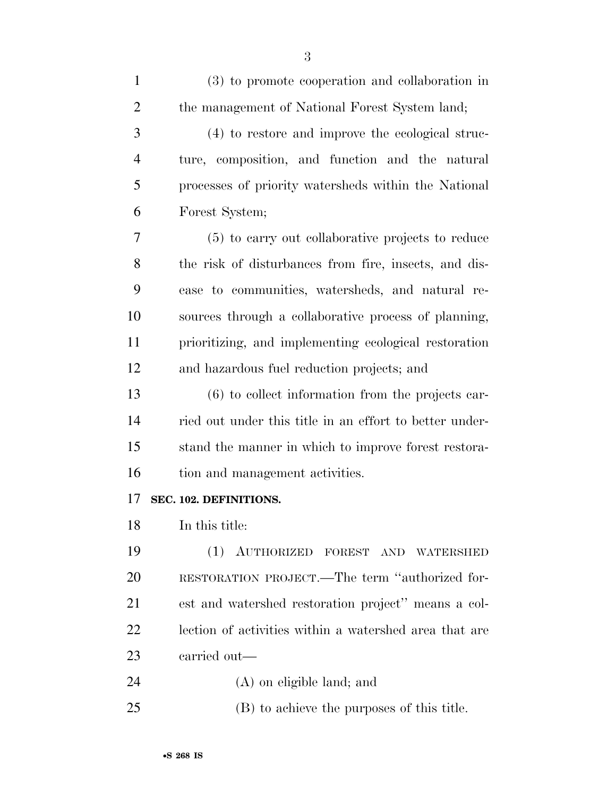| $\mathbf{1}$   | (3) to promote cooperation and collaboration in         |
|----------------|---------------------------------------------------------|
| $\overline{2}$ | the management of National Forest System land;          |
| 3              | (4) to restore and improve the ecological struc-        |
| $\overline{4}$ | ture, composition, and function and the natural         |
| 5              | processes of priority watersheds within the National    |
| 6              | Forest System;                                          |
| 7              | (5) to carry out collaborative projects to reduce       |
| 8              | the risk of disturbances from fire, insects, and dis-   |
| 9              | ease to communities, watersheds, and natural re-        |
| 10             | sources through a collaborative process of planning,    |
| 11             | prioritizing, and implementing ecological restoration   |
| 12             | and hazardous fuel reduction projects; and              |
| 13             | $(6)$ to collect information from the projects car-     |
| 14             | ried out under this title in an effort to better under- |
| 15             | stand the manner in which to improve forest restora-    |
| 16             | tion and management activities.                         |
| 17             | SEC. 102. DEFINITIONS.                                  |
| 18             | In this title:                                          |
| 19             | (1)<br>AUTHORIZED FOREST AND<br>WATERSHED               |
| 20             | RESTORATION PROJECT.—The term "authorized for-          |
| 21             | est and watershed restoration project" means a col-     |
| 22             | lection of activities within a watershed area that are  |
| 23             | carried out—                                            |
| 24             | $(A)$ on eligible land; and                             |
|                |                                                         |

(B) to achieve the purposes of this title.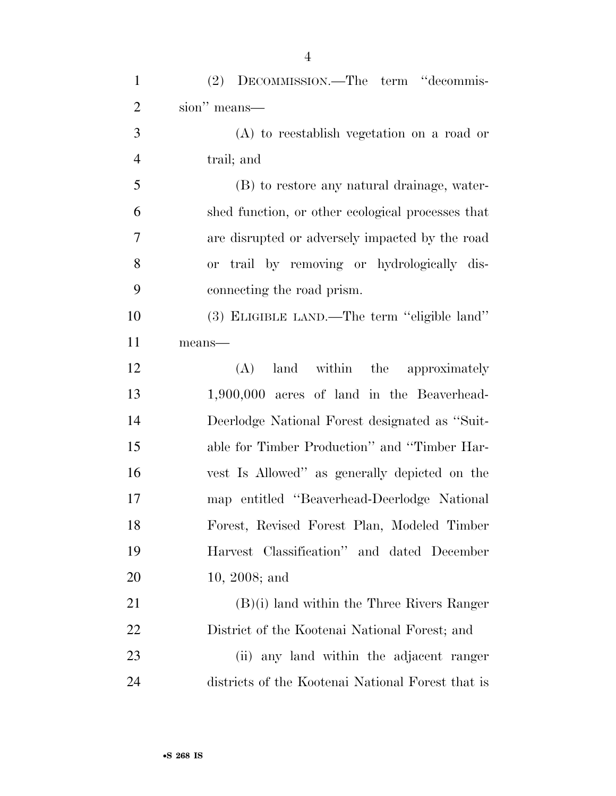| $\mathbf{1}$   | (2) DECOMMISSION.—The term "decommis-             |
|----------------|---------------------------------------------------|
| $\overline{2}$ | sion" means—                                      |
| 3              | $(A)$ to reestablish vegetation on a road or      |
| $\overline{4}$ | trail; and                                        |
| 5              | (B) to restore any natural drainage, water-       |
| 6              | shed function, or other ecological processes that |
| 7              | are disrupted or adversely impacted by the road   |
| 8              | or trail by removing or hydrologically dis-       |
| 9              | connecting the road prism.                        |
| 10             | (3) ELIGIBLE LAND.—The term "eligible land"       |
| 11             | means-                                            |
| 12             | land within the approximately<br>(A)              |
| 13             | 1,900,000 acres of land in the Beaverhead-        |
| 14             | Deerlodge National Forest designated as "Suit-    |
| 15             | able for Timber Production" and "Timber Har-      |
| 16             | vest Is Allowed" as generally depicted on the     |
| 17             | map entitled "Beaverhead-Deerlodge National       |
| 18             | Forest, Revised Forest Plan, Modeled Timber       |
| 19             | Harvest Classification" and dated December        |
| 20             | $10, 2008;$ and                                   |
| 21             | $(B)(i)$ land within the Three Rivers Ranger      |
| 22             | District of the Kootenai National Forest; and     |
| 23             | (ii) any land within the adjacent ranger          |
| 24             | districts of the Kootenai National Forest that is |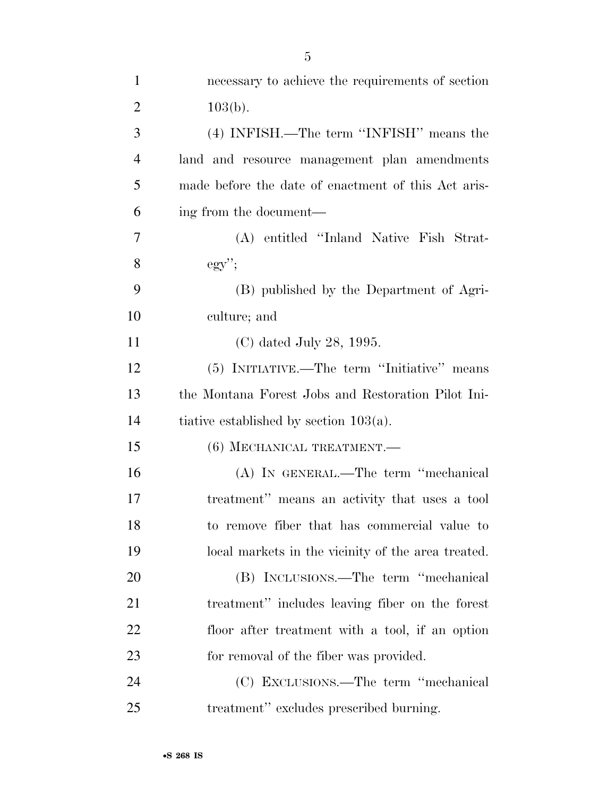| $\overline{2}$ | $103(b)$ .                                          |
|----------------|-----------------------------------------------------|
| 3              | (4) INFISH.—The term "INFISH" means the             |
| $\overline{4}$ | land and resource management plan amendments        |
| 5              | made before the date of enactment of this Act aris- |
| 6              | ing from the document—                              |
| 7              | (A) entitled "Inland Native Fish Strat-             |
| 8              | $\mathrm{egy}$ ";                                   |
| 9              | (B) published by the Department of Agri-            |
| 10             | culture; and                                        |
| 11             | $(C)$ dated July 28, 1995.                          |
| 12             | (5) INITIATIVE.—The term "Initiative" means         |
| 13             | the Montana Forest Jobs and Restoration Pilot Ini-  |
| 14             | tiative established by section $103(a)$ .           |
| 15             | (6) MECHANICAL TREATMENT.—                          |
| 16             | (A) IN GENERAL.—The term "mechanical                |
| 17             | treatment" means an activity that uses a tool       |
| 18             | to remove fiber that has commercial value to        |
| 19             | local markets in the vicinity of the area treated.  |
| 20             | (B) INCLUSIONS.—The term "mechanical                |
| 21             | treatment" includes leaving fiber on the forest     |
| 22             | floor after treatment with a tool, if an option     |
| 23             | for removal of the fiber was provided.              |
| 24             | (C) EXCLUSIONS.—The term "mechanical                |
| 25             | treatment" excludes prescribed burning.             |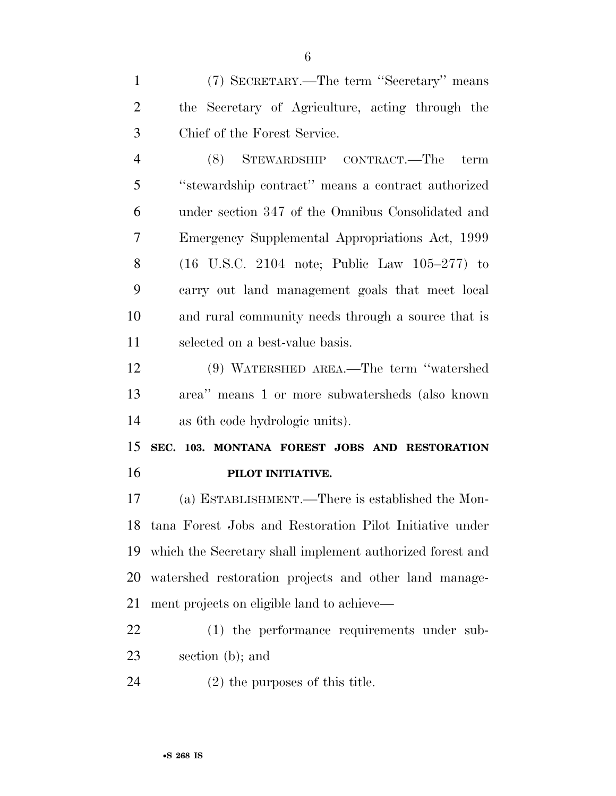(7) SECRETARY.—The term ''Secretary'' means the Secretary of Agriculture, acting through the Chief of the Forest Service.

 (8) STEWARDSHIP CONTRACT.—The term ''stewardship contract'' means a contract authorized under section 347 of the Omnibus Consolidated and Emergency Supplemental Appropriations Act, 1999 (16 U.S.C. 2104 note; Public Law 105–277) to carry out land management goals that meet local and rural community needs through a source that is selected on a best-value basis.

 (9) WATERSHED AREA.—The term ''watershed area'' means 1 or more subwatersheds (also known as 6th code hydrologic units).

 **SEC. 103. MONTANA FOREST JOBS AND RESTORATION PILOT INITIATIVE.** 

 (a) ESTABLISHMENT.—There is established the Mon- tana Forest Jobs and Restoration Pilot Initiative under which the Secretary shall implement authorized forest and watershed restoration projects and other land manage-ment projects on eligible land to achieve—

 (1) the performance requirements under sub-section (b); and

(2) the purposes of this title.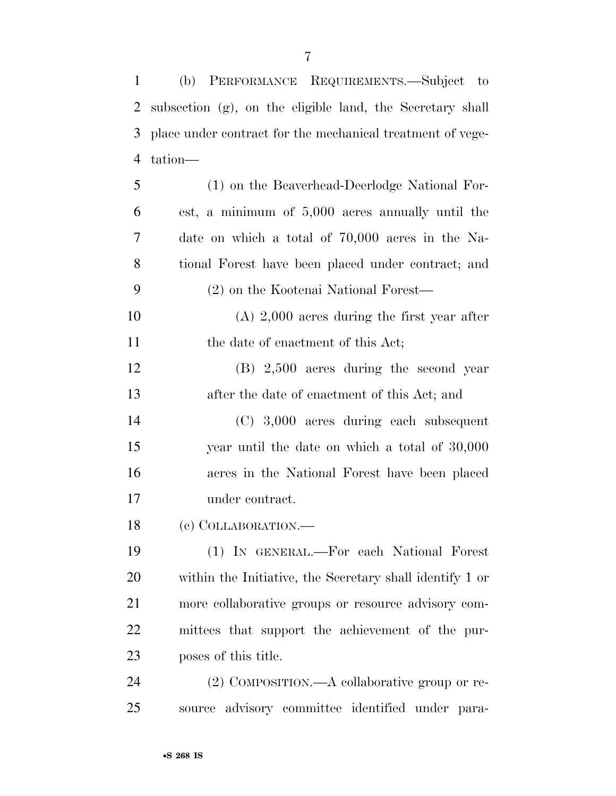(b) PERFORMANCE REQUIREMENTS.—Subject to subsection (g), on the eligible land, the Secretary shall place under contract for the mechanical treatment of vege-tation—

 (1) on the Beaverhead-Deerlodge National For- est, a minimum of 5,000 acres annually until the date on which a total of 70,000 acres in the Na- tional Forest have been placed under contract; and (2) on the Kootenai National Forest— (A) 2,000 acres during the first year after 11 the date of enactment of this Act; (B) 2,500 acres during the second year after the date of enactment of this Act; and (C) 3,000 acres during each subsequent year until the date on which a total of 30,000 acres in the National Forest have been placed under contract. (c) COLLABORATION.—

 (1) IN GENERAL.—For each National Forest within the Initiative, the Secretary shall identify 1 or more collaborative groups or resource advisory com- mittees that support the achievement of the pur-poses of this title.

 (2) COMPOSITION.—A collaborative group or re-source advisory committee identified under para-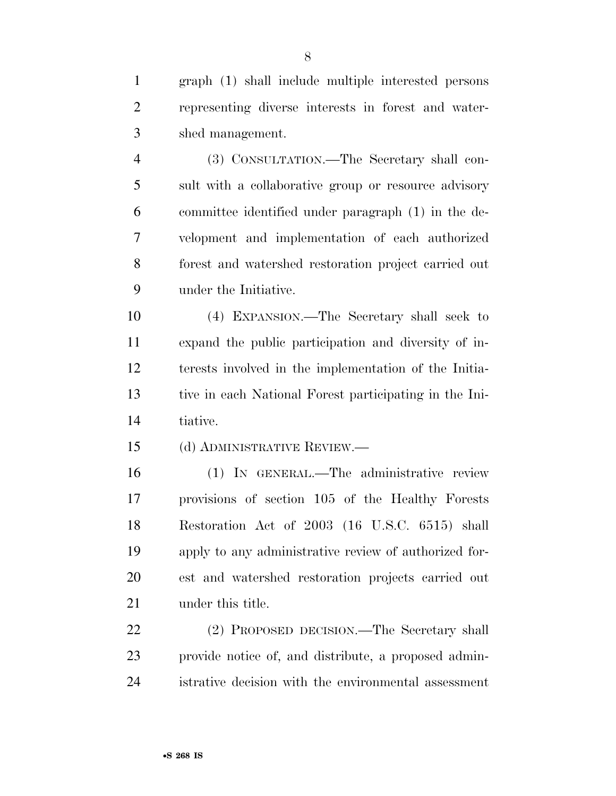graph (1) shall include multiple interested persons representing diverse interests in forest and water-shed management.

 (3) CONSULTATION.—The Secretary shall con- sult with a collaborative group or resource advisory committee identified under paragraph (1) in the de- velopment and implementation of each authorized forest and watershed restoration project carried out under the Initiative.

 (4) EXPANSION.—The Secretary shall seek to expand the public participation and diversity of in- terests involved in the implementation of the Initia- tive in each National Forest participating in the Ini-tiative.

(d) ADMINISTRATIVE REVIEW.—

 (1) IN GENERAL.—The administrative review provisions of section 105 of the Healthy Forests Restoration Act of 2003 (16 U.S.C. 6515) shall apply to any administrative review of authorized for- est and watershed restoration projects carried out under this title.

 (2) PROPOSED DECISION.—The Secretary shall provide notice of, and distribute, a proposed admin-istrative decision with the environmental assessment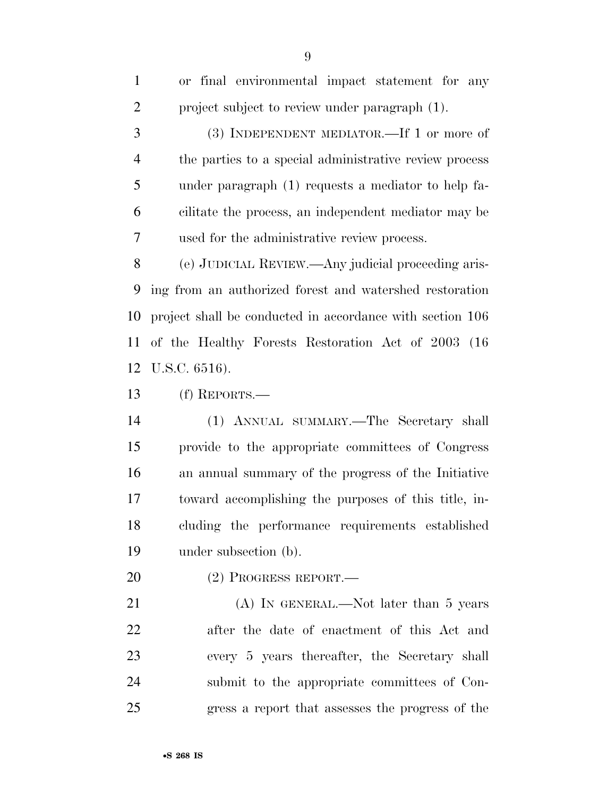| $\mathbf{1}$   | or final environmental impact statement for any           |
|----------------|-----------------------------------------------------------|
| $\overline{2}$ | project subject to review under paragraph (1).            |
| 3              | (3) INDEPENDENT MEDIATOR.—If 1 or more of                 |
| 4              | the parties to a special administrative review process    |
| 5              | under paragraph (1) requests a mediator to help fa-       |
| 6              | cilitate the process, an independent mediator may be      |
| 7              | used for the administrative review process.               |
| 8              | (e) JUDICIAL REVIEW.—Any judicial proceeding aris-        |
| 9              | ing from an authorized forest and watershed restoration   |
| 10             | project shall be conducted in accordance with section 106 |
| 11             | of the Healthy Forests Restoration Act of 2003 (16)       |
| 12             | U.S.C. 6516).                                             |
| 13             | $(f)$ REPORTS.—                                           |
| 14             | (1) ANNUAL SUMMARY.—The Secretary shall                   |
| 15             | provide to the appropriate committees of Congress         |
| 16             | an annual summary of the progress of the Initiative       |
| 17             | toward accomplishing the purposes of this title, in-      |
| 18             | cluding the performance requirements established          |

under subsection (b).

(2) PROGRESS REPORT.—

21 (A) IN GENERAL.—Not later than 5 years after the date of enactment of this Act and every 5 years thereafter, the Secretary shall submit to the appropriate committees of Con-gress a report that assesses the progress of the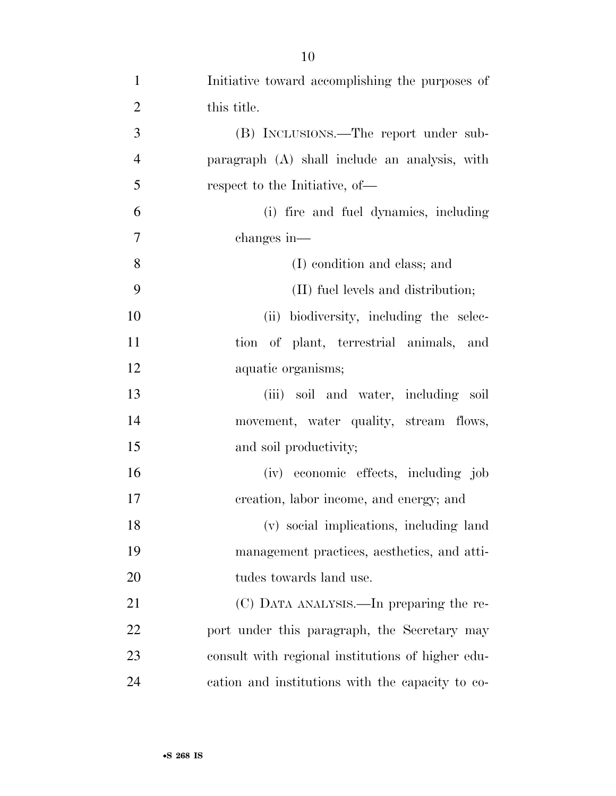| $\mathbf{1}$   | Initiative toward accomplishing the purposes of   |
|----------------|---------------------------------------------------|
| $\overline{2}$ | this title.                                       |
| 3              | (B) INCLUSIONS.—The report under sub-             |
| $\overline{4}$ | paragraph (A) shall include an analysis, with     |
| 5              | respect to the Initiative, of—                    |
| 6              | (i) fire and fuel dynamics, including             |
| $\tau$         | changes in—                                       |
| 8              | (I) condition and class; and                      |
| 9              | (II) fuel levels and distribution;                |
| 10             | (ii) biodiversity, including the selec-           |
| 11             | tion of plant, terrestrial animals, and           |
| 12             | aquatic organisms;                                |
| 13             | (iii) soil and water, including soil              |
| 14             | movement, water quality, stream flows,            |
| 15             | and soil productivity;                            |
| 16             | (iv) economic effects, including job              |
| 17             | creation, labor income, and energy; and           |
| 18             | (v) social implications, including land           |
| 19             | management practices, aesthetics, and atti-       |
| 20             | tudes towards land use.                           |
| 21             | (C) DATA ANALYSIS.—In preparing the re-           |
| 22             | port under this paragraph, the Secretary may      |
| 23             | consult with regional institutions of higher edu- |
| 24             | cation and institutions with the capacity to co-  |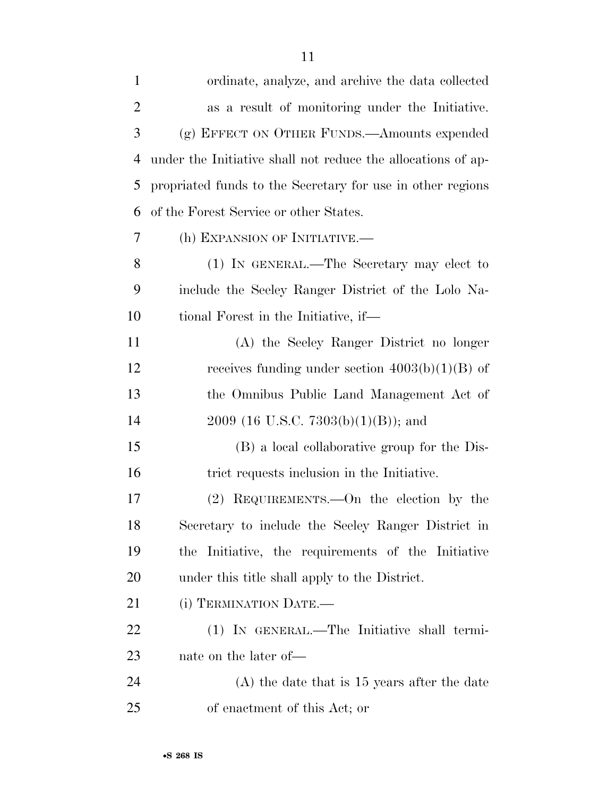| $\mathbf{1}$   | ordinate, analyze, and archive the data collected            |
|----------------|--------------------------------------------------------------|
| $\overline{2}$ | as a result of monitoring under the Initiative.              |
| 3              | (g) EFFECT ON OTHER FUNDS.—Amounts expended                  |
| 4              | under the Initiative shall not reduce the allocations of ap- |
| 5              | propriated funds to the Secretary for use in other regions   |
| 6              | of the Forest Service or other States.                       |
| 7              | (h) EXPANSION OF INITIATIVE.-                                |
| 8              | (1) IN GENERAL.—The Secretary may elect to                   |
| 9              | include the Seeley Ranger District of the Lolo Na-           |
| 10             | tional Forest in the Initiative, if—                         |
| 11             | (A) the Seeley Ranger District no longer                     |
| 12             | receives funding under section $4003(b)(1)(B)$ of            |
| 13             | the Omnibus Public Land Management Act of                    |
| 14             | $2009$ (16 U.S.C. 7303(b)(1)(B)); and                        |
| 15             | (B) a local collaborative group for the Dis-                 |
| 16             | trict requests inclusion in the Initiative.                  |
| 17             | REQUIREMENTS.—On the election by the<br>(2)                  |
| 18             | Secretary to include the Seeley Ranger District in           |
| 19             | the Initiative, the requirements of the Initiative           |
| 20             | under this title shall apply to the District.                |
| 21             | (i) TERMINATION DATE.-                                       |
| 22             | (1) IN GENERAL.—The Initiative shall termi-                  |
| 23             | nate on the later of—                                        |
| 24             | $(A)$ the date that is 15 years after the date               |
| 25             | of enactment of this Act; or                                 |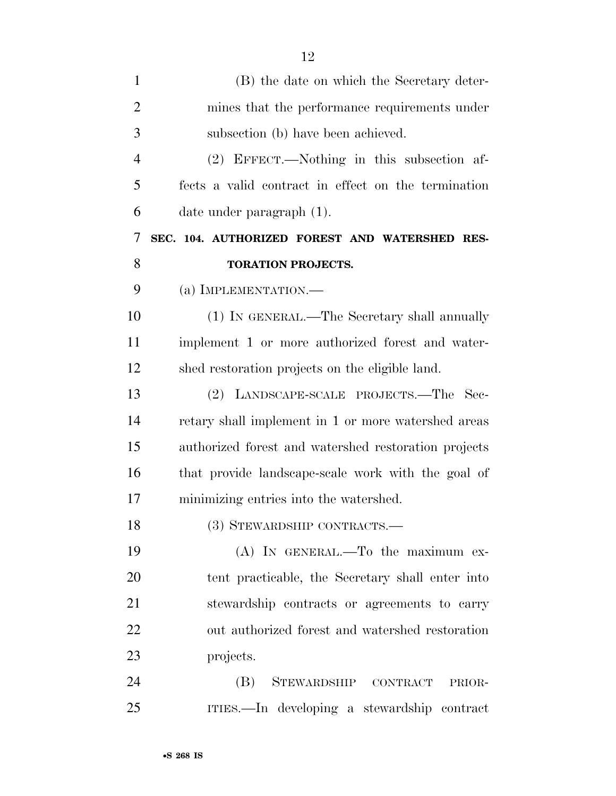| $\mathbf{1}$   | (B) the date on which the Secretary deter-           |
|----------------|------------------------------------------------------|
| $\overline{2}$ | mines that the performance requirements under        |
| 3              | subsection (b) have been achieved.                   |
| $\overline{4}$ | (2) EFFECT.—Nothing in this subsection af-           |
| 5              | fects a valid contract in effect on the termination  |
| 6              | date under paragraph (1).                            |
| 7              | SEC. 104. AUTHORIZED FOREST AND WATERSHED RES-       |
| 8              | <b>TORATION PROJECTS.</b>                            |
| 9              | (a) IMPLEMENTATION.—                                 |
| 10             | (1) IN GENERAL.—The Secretary shall annually         |
| 11             | implement 1 or more authorized forest and water-     |
| 12             | shed restoration projects on the eligible land.      |
| 13             | (2) LANDSCAPE-SCALE PROJECTS.—The Sec-               |
| 14             | retary shall implement in 1 or more watershed areas  |
| 15             | authorized forest and watershed restoration projects |
| 16             | that provide landscape-scale work with the goal of   |
| 17             | minimizing entries into the watershed.               |
| 18             | (3) STEWARDSHIP CONTRACTS.—                          |
| 19             | (A) IN GENERAL.—To the maximum ex-                   |
| 20             | tent practicable, the Secretary shall enter into     |
| 21             | stewardship contracts or agreements to carry         |
| 22             | out authorized forest and watershed restoration      |
| 23             | projects.                                            |
| 24             | (B)<br>STEWARDSHIP CONTRACT<br>PRIOR-                |
| 25             | ITIES.—In developing a stewardship contract          |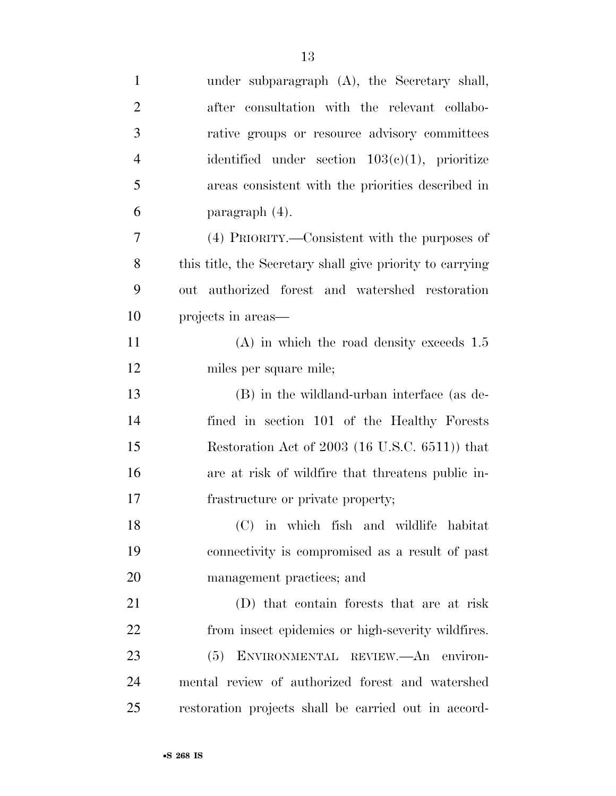| $\mathbf{1}$   | under subparagraph (A), the Secretary shall,              |
|----------------|-----------------------------------------------------------|
| $\overline{2}$ | after consultation with the relevant collabo-             |
| 3              | rative groups or resource advisory committees             |
| $\overline{4}$ | identified under section $103(c)(1)$ , prioritize         |
| 5              | areas consistent with the priorities described in         |
| 6              | paragraph $(4)$ .                                         |
| 7              | (4) PRIORITY.—Consistent with the purposes of             |
| 8              | this title, the Secretary shall give priority to carrying |
| 9              | authorized forest and watershed restoration<br>out        |
| 10             | projects in areas—                                        |
| 11             | $(A)$ in which the road density exceeds 1.5               |
| 12             | miles per square mile;                                    |
| 13             | (B) in the wildland-urban interface (as de-               |
| 14             | fined in section 101 of the Healthy Forests               |
| 15             | Restoration Act of 2003 (16 U.S.C. 6511)) that            |
| 16             | are at risk of wildfire that threatens public in-         |
| 17             | frastructure or private property;                         |
| 18             | (C) in which fish and wildlife habitat                    |
| 19             | connectivity is compromised as a result of past           |
| 20             | management practices; and                                 |
| 21             | (D) that contain forests that are at risk                 |
| 22             | from insect epidemics or high-severity wildfires.         |
| 23             | ENVIRONMENTAL REVIEW. An environ-<br>(5)                  |
| 24             | mental review of authorized forest and watershed          |
| 25             | restoration projects shall be carried out in accord-      |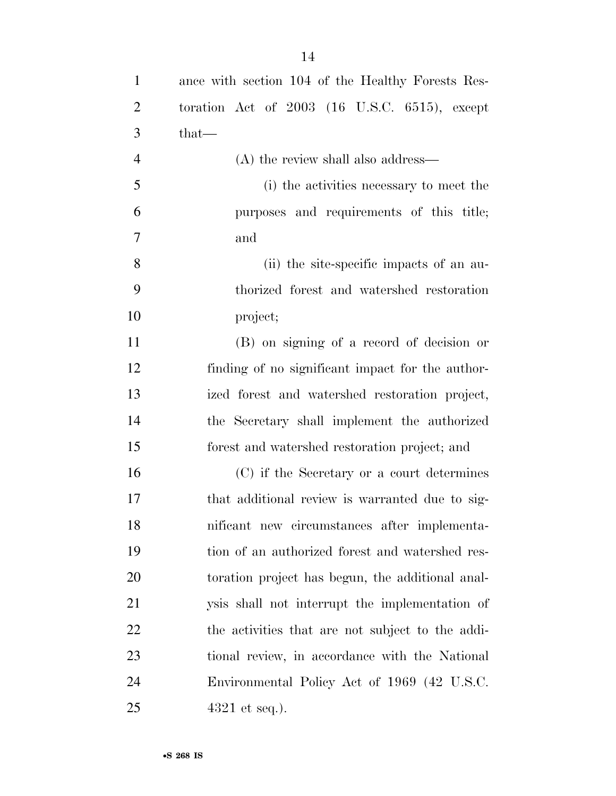| $\mathbf{1}$   | ance with section 104 of the Healthy Forests Res- |
|----------------|---------------------------------------------------|
| $\overline{2}$ | toration Act of $2003$ (16 U.S.C. 6515), except   |
| 3              | $that-$                                           |
| $\overline{4}$ | (A) the review shall also address—                |
| 5              | (i) the activities necessary to meet the          |
| 6              | purposes and requirements of this title;          |
| 7              | and                                               |
| 8              | (ii) the site-specific impacts of an au-          |
| 9              | thorized forest and watershed restoration         |
| 10             | project;                                          |
| 11             | (B) on signing of a record of decision or         |
| 12             | finding of no significant impact for the author-  |
| 13             | ized forest and watershed restoration project,    |
| 14             | the Secretary shall implement the authorized      |
| 15             | forest and watershed restoration project; and     |
| 16             | (C) if the Secretary or a court determines        |
| 17             | that additional review is warranted due to sig-   |
| 18             | nificant new circumstances after implementa-      |
| 19             | tion of an authorized forest and watershed res-   |
| 20             | toration project has begun, the additional anal-  |
| 21             | ysis shall not interrupt the implementation of    |
| 22             | the activities that are not subject to the addi-  |
| 23             | tional review, in accordance with the National    |
| 24             | Environmental Policy Act of 1969 (42 U.S.C.       |
| 25             | $4321$ et seq.).                                  |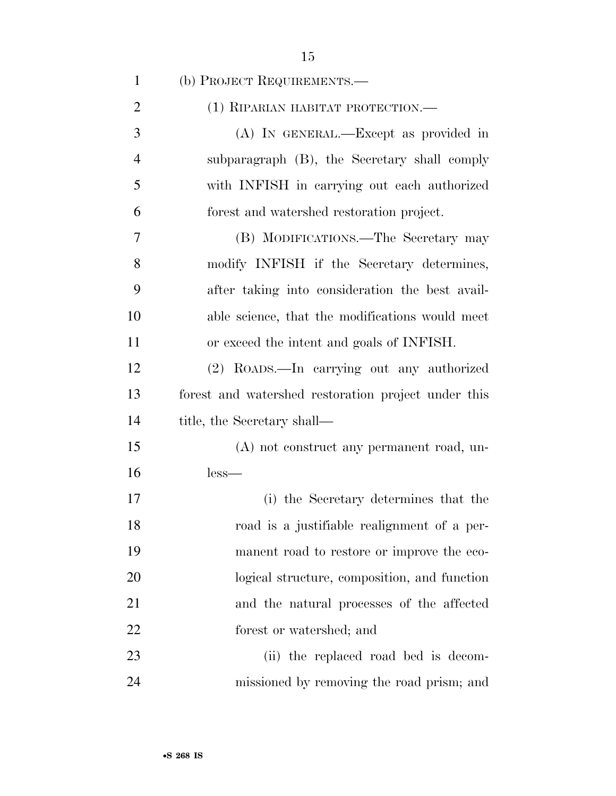| $\mathbf{1}$   | (b) PROJECT REQUIREMENTS.—                          |
|----------------|-----------------------------------------------------|
| $\overline{2}$ | (1) RIPARIAN HABITAT PROTECTION.—                   |
| 3              | (A) IN GENERAL.—Except as provided in               |
| $\overline{4}$ | subparagraph (B), the Secretary shall comply        |
| 5              | with INFISH in carrying out each authorized         |
| 6              | forest and watershed restoration project.           |
| 7              | (B) MODIFICATIONS.—The Secretary may                |
| 8              | modify INFISH if the Secretary determines,          |
| 9              | after taking into consideration the best avail-     |
| 10             | able science, that the modifications would meet     |
| 11             | or exceed the intent and goals of INFISH.           |
| 12             | (2) ROADS.—In carrying out any authorized           |
| 13             | forest and watershed restoration project under this |
| 14             | title, the Secretary shall—                         |
| 15             | (A) not construct any permanent road, un-           |
| 16             | $less-$                                             |
| 17             | (i) the Secretary determines that the               |
| 18             | road is a justifiable realignment of a per-         |
| 19             | manent road to restore or improve the eco-          |
| 20             | logical structure, composition, and function        |
| 21             | and the natural processes of the affected           |
| 22             | forest or watershed; and                            |
| 23             | (ii) the replaced road bed is decom-                |
| 24             | missioned by removing the road prism; and           |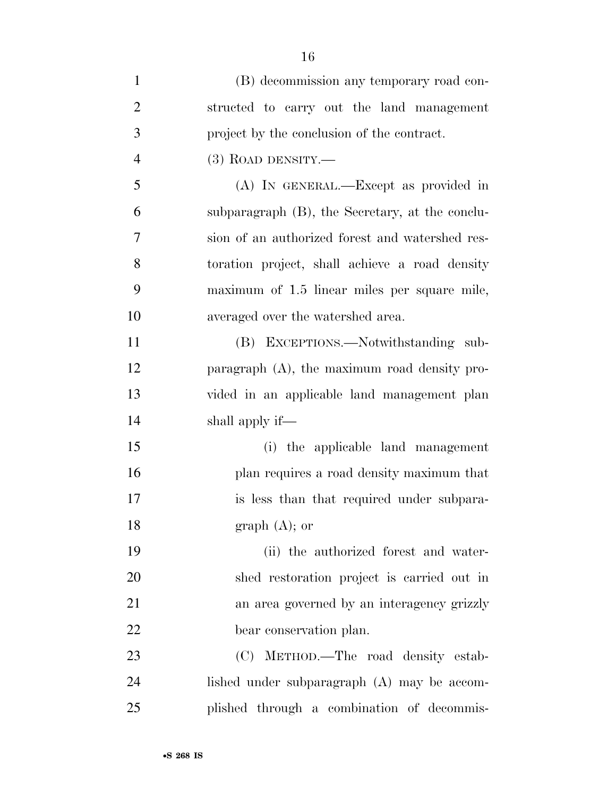| $\mathbf{1}$   | (B) decommission any temporary road con-        |
|----------------|-------------------------------------------------|
| $\overline{2}$ | structed to carry out the land management       |
| 3              | project by the conclusion of the contract.      |
| $\overline{4}$ | $(3)$ ROAD DENSITY.—                            |
| 5              | (A) IN GENERAL.—Except as provided in           |
| 6              | subparagraph (B), the Secretary, at the conclu- |
| 7              | sion of an authorized forest and watershed res- |
| 8              | toration project, shall achieve a road density  |
| 9              | maximum of 1.5 linear miles per square mile,    |
| 10             | averaged over the watershed area.               |
| 11             | (B) EXCEPTIONS.—Notwithstanding sub-            |
| 12             | paragraph (A), the maximum road density pro-    |
| 13             | vided in an applicable land management plan     |
| 14             | shall apply if—                                 |
| 15             | (i) the applicable land management              |
| 16             | plan requires a road density maximum that       |
| 17             | is less than that required under subpara-       |
| 18             | $graph (A);$ or                                 |
| 19             | (ii) the authorized forest and water-           |
| 20             | shed restoration project is carried out in      |
| 21             | an area governed by an interagency grizzly      |
| 22             | bear conservation plan.                         |
| 23             | (C) METHOD.—The road density estab-             |
| 24             | lished under subparagraph (A) may be accom-     |
| 25             | plished through a combination of decommis-      |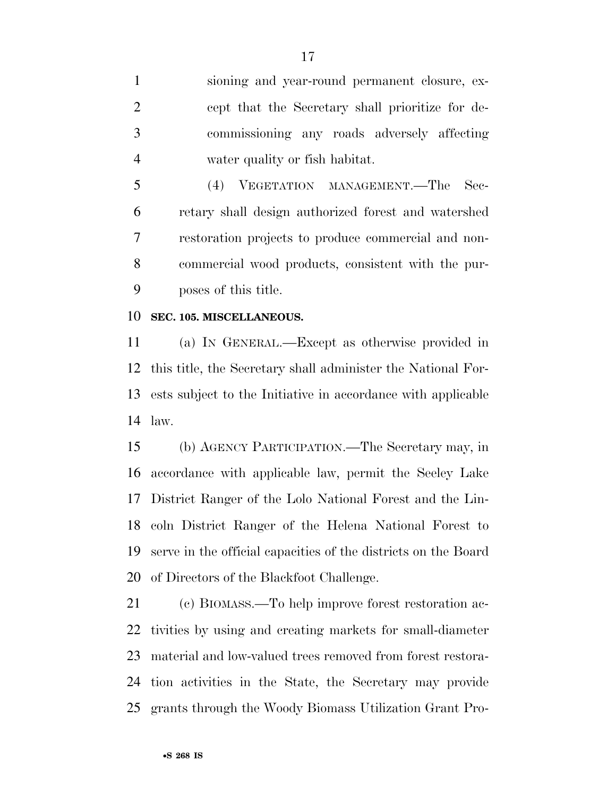sioning and year-round permanent closure, ex- cept that the Secretary shall prioritize for de- commissioning any roads adversely affecting water quality or fish habitat.

 (4) VEGETATION MANAGEMENT.—The Sec- retary shall design authorized forest and watershed restoration projects to produce commercial and non- commercial wood products, consistent with the pur-poses of this title.

#### **SEC. 105. MISCELLANEOUS.**

 (a) IN GENERAL.—Except as otherwise provided in this title, the Secretary shall administer the National For- ests subject to the Initiative in accordance with applicable law.

 (b) AGENCY PARTICIPATION.—The Secretary may, in accordance with applicable law, permit the Seeley Lake District Ranger of the Lolo National Forest and the Lin- coln District Ranger of the Helena National Forest to serve in the official capacities of the districts on the Board of Directors of the Blackfoot Challenge.

 (c) BIOMASS.—To help improve forest restoration ac- tivities by using and creating markets for small-diameter material and low-valued trees removed from forest restora- tion activities in the State, the Secretary may provide grants through the Woody Biomass Utilization Grant Pro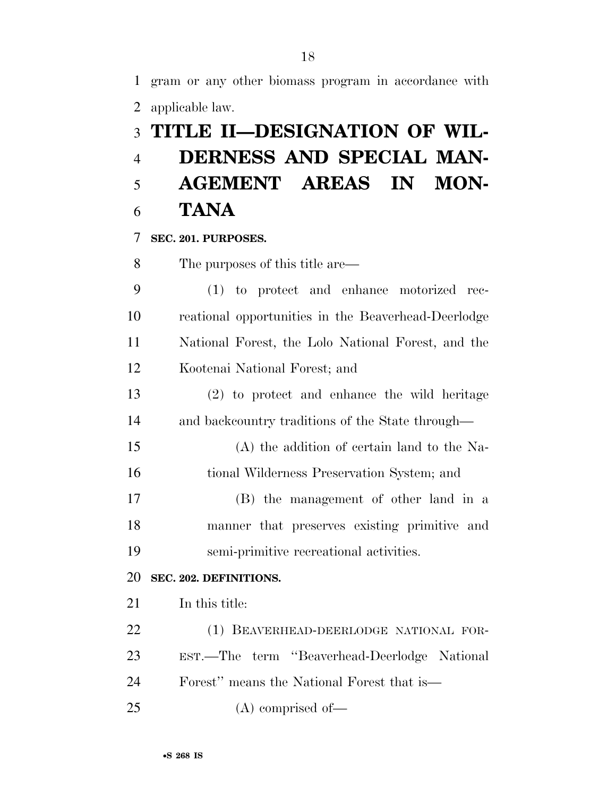gram or any other biomass program in accordance with applicable law.

# **TITLE II—DESIGNATION OF WIL-**

# **DERNESS AND SPECIAL MAN- AGEMENT AREAS IN MON-TANA**

### **SEC. 201. PURPOSES.**

The purposes of this title are—

 (1) to protect and enhance motorized rec- reational opportunities in the Beaverhead-Deerlodge National Forest, the Lolo National Forest, and the Kootenai National Forest; and

 (2) to protect and enhance the wild heritage and backcountry traditions of the State through—

 (A) the addition of certain land to the Na-tional Wilderness Preservation System; and

 (B) the management of other land in a manner that preserves existing primitive and semi-primitive recreational activities.

### **SEC. 202. DEFINITIONS.**

In this title:

 (1) BEAVERHEAD-DEERLODGE NATIONAL FOR- EST.—The term ''Beaverhead-Deerlodge National Forest'' means the National Forest that is— (A) comprised of—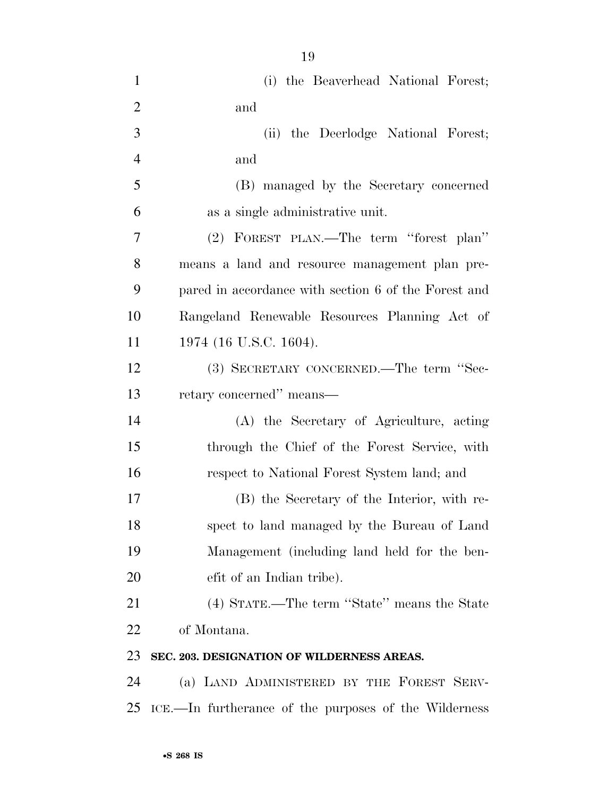| $\mathbf{1}$   | (i) the Beaverhead National Forest;                   |
|----------------|-------------------------------------------------------|
| $\overline{2}$ | and                                                   |
| 3              | (ii) the Deerlodge National Forest;                   |
| $\overline{4}$ | and                                                   |
| 5              | (B) managed by the Secretary concerned                |
| 6              | as a single administrative unit.                      |
| $\overline{7}$ | (2) FOREST PLAN.—The term "forest plan"               |
| 8              | means a land and resource management plan pre-        |
| 9              | pared in accordance with section 6 of the Forest and  |
| 10             | Rangeland Renewable Resources Planning Act of         |
| 11             | 1974 (16 U.S.C. 1604).                                |
| 12             | (3) SECRETARY CONCERNED.—The term "Sec-               |
| 13             | retary concerned" means-                              |
| 14             | (A) the Secretary of Agriculture, acting              |
| 15             | through the Chief of the Forest Service, with         |
| 16             | respect to National Forest System land; and           |
| 17             | (B) the Secretary of the Interior, with re-           |
| 18             | spect to land managed by the Bureau of Land           |
| 19             | Management (including land held for the ben-          |
| 20             | efit of an Indian tribe).                             |
| 21             | (4) STATE.—The term "State" means the State           |
| 22             | of Montana.                                           |
| 23             | SEC. 203. DESIGNATION OF WILDERNESS AREAS.            |
| 24             | (a) LAND ADMINISTERED BY THE FOREST SERV-             |
| 25             | ICE.—In furtherance of the purposes of the Wilderness |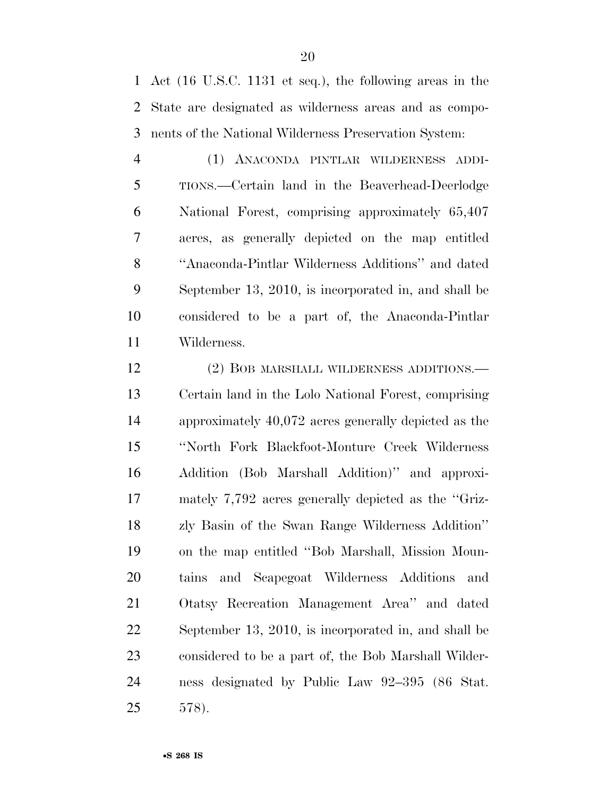Act (16 U.S.C. 1131 et seq.), the following areas in the State are designated as wilderness areas and as compo-nents of the National Wilderness Preservation System:

 (1) ANACONDA PINTLAR WILDERNESS ADDI- TIONS.—Certain land in the Beaverhead-Deerlodge National Forest, comprising approximately 65,407 acres, as generally depicted on the map entitled ''Anaconda-Pintlar Wilderness Additions'' and dated September 13, 2010, is incorporated in, and shall be considered to be a part of, the Anaconda-Pintlar Wilderness.

12 (2) BOB MARSHALL WILDERNESS ADDITIONS.— Certain land in the Lolo National Forest, comprising approximately 40,072 acres generally depicted as the ''North Fork Blackfoot-Monture Creek Wilderness Addition (Bob Marshall Addition)'' and approxi- mately 7,792 acres generally depicted as the ''Griz- zly Basin of the Swan Range Wilderness Addition'' on the map entitled ''Bob Marshall, Mission Moun- tains and Scapegoat Wilderness Additions and Otatsy Recreation Management Area'' and dated September 13, 2010, is incorporated in, and shall be considered to be a part of, the Bob Marshall Wilder- ness designated by Public Law 92–395 (86 Stat. 578).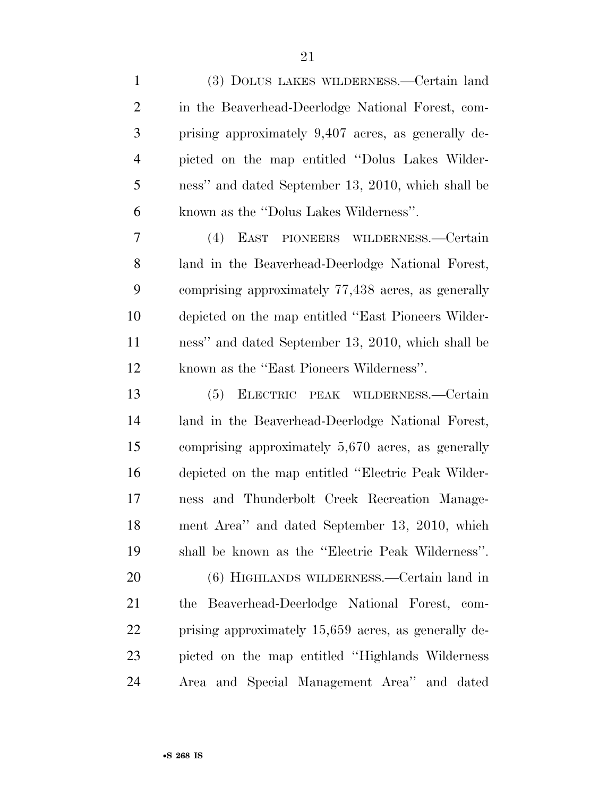| $\mathbf{1}$   | (3) DOLUS LAKES WILDERNESS.—Certain land             |
|----------------|------------------------------------------------------|
| $\overline{2}$ | in the Beaverhead-Deerlodge National Forest, com-    |
| 3              | prising approximately 9,407 acres, as generally de-  |
| $\overline{4}$ | picted on the map entitled "Dolus Lakes Wilder-      |
| 5              | ness" and dated September 13, 2010, which shall be   |
| 6              | known as the "Dolus Lakes Wilderness".               |
| 7              | (4) EAST PIONEERS WILDERNESS.—Certain                |
| 8              | land in the Beaverhead-Deerlodge National Forest,    |
| 9              | comprising approximately 77,438 acres, as generally  |
| 10             | depicted on the map entitled "East Pioneers Wilder-  |
| 11             | ness" and dated September 13, 2010, which shall be   |
| 12             | known as the "East Pioneers Wilderness".             |
| 13             | (5) ELECTRIC PEAK WILDERNESS.—Certain                |
| 14             | land in the Beaverhead-Deerlodge National Forest,    |
| 15             | comprising approximately 5,670 acres, as generally   |
| 16             | depicted on the map entitled "Electric Peak Wilder-  |
| 17             | ness and Thunderbolt Creek Recreation Manage-        |
| 18             | ment Area" and dated September 13, 2010, which       |
| 19             | shall be known as the "Electric Peak Wilderness".    |
| 20             | (6) HIGHLANDS WILDERNESS.—Certain land in            |
| 21             | the Beaverhead-Deerlodge National Forest, com-       |
| 22             | prising approximately 15,659 acres, as generally de- |
| 23             | picted on the map entitled "Highlands Wilderness"    |
| 24             | Area and Special Management Area" and dated          |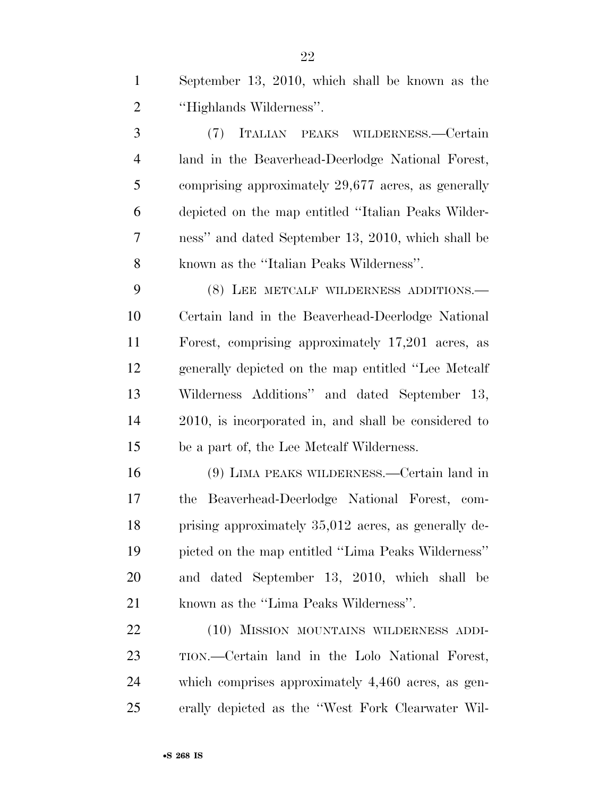| September 13, 2010, which shall be known as the |
|-------------------------------------------------|
| "Highlands Wilderness".                         |

 (7) ITALIAN PEAKS WILDERNESS.—Certain land in the Beaverhead-Deerlodge National Forest, comprising approximately 29,677 acres, as generally depicted on the map entitled ''Italian Peaks Wilder- ness'' and dated September 13, 2010, which shall be known as the ''Italian Peaks Wilderness''.

 (8) LEE METCALF WILDERNESS ADDITIONS.— Certain land in the Beaverhead-Deerlodge National Forest, comprising approximately 17,201 acres, as generally depicted on the map entitled ''Lee Metcalf Wilderness Additions'' and dated September 13, 2010, is incorporated in, and shall be considered to be a part of, the Lee Metcalf Wilderness.

 (9) LIMA PEAKS WILDERNESS.—Certain land in the Beaverhead-Deerlodge National Forest, com- prising approximately 35,012 acres, as generally de- picted on the map entitled ''Lima Peaks Wilderness'' and dated September 13, 2010, which shall be known as the ''Lima Peaks Wilderness''.

 (10) MISSION MOUNTAINS WILDERNESS ADDI- TION.—Certain land in the Lolo National Forest, which comprises approximately 4,460 acres, as gen-erally depicted as the ''West Fork Clearwater Wil-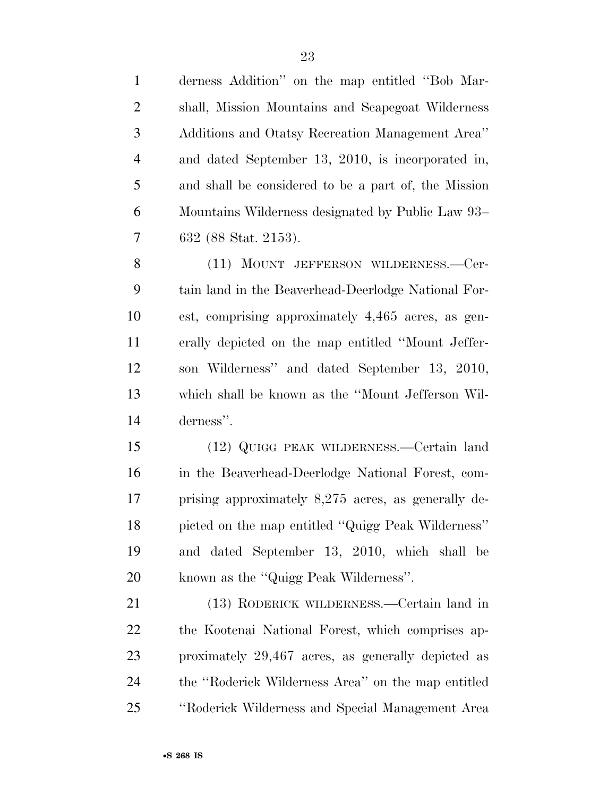| $\mathbf{1}$   | derness Addition" on the map entitled "Bob Mar-      |
|----------------|------------------------------------------------------|
| $\mathbf{2}$   | shall, Mission Mountains and Scapegoat Wilderness    |
| 3              | Additions and Otatsy Recreation Management Area"     |
| $\overline{4}$ | and dated September 13, 2010, is incorporated in,    |
| 5              | and shall be considered to be a part of, the Mission |
| 6              | Mountains Wilderness designated by Public Law 93–    |
| 7              | 632 (88 Stat. 2153).                                 |
| 8              | (11) MOUNT JEFFERSON WILDERNESS.—Cer-                |
| 9              | tain land in the Beaverhead-Deerlodge National For-  |
| 10             | est, comprising approximately 4,465 acres, as gen-   |
| 11             | erally depicted on the map entitled "Mount Jeffer-   |
| 12             | son Wilderness" and dated September 13, 2010,        |
| 13             | which shall be known as the "Mount Jefferson Wil-    |
| 14             | derness".                                            |
| 15             | (12) QUIGG PEAK WILDERNESS.—Certain land             |
| 16             | in the Beaverhead-Deerlodge National Forest, com-    |
| 17             | prising approximately 8,275 acres, as generally de-  |
| 18             | picted on the map entitled "Quigg Peak Wilderness"   |
| 19             | and dated September 13, 2010, which shall be         |
| 20             | known as the "Quigg Peak Wilderness".                |
| 21             | (13) RODERICK WILDERNESS.—Certain land in            |
| 22             | the Kootenai National Forest, which comprises ap-    |
| 23             | proximately 29,467 acres, as generally depicted as   |
| 24             | the "Roderick Wilderness Area" on the map entitled   |
| 25             | "Roderick Wilderness and Special Management Area     |
|                |                                                      |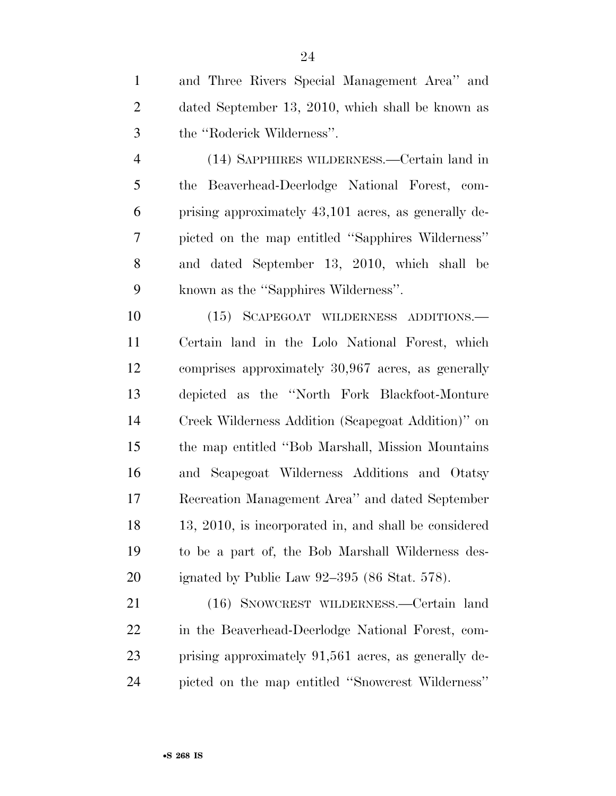and Three Rivers Special Management Area'' and dated September 13, 2010, which shall be known as the ''Roderick Wilderness''.

 (14) SAPPHIRES WILDERNESS.—Certain land in the Beaverhead-Deerlodge National Forest, com- prising approximately 43,101 acres, as generally de- picted on the map entitled ''Sapphires Wilderness'' and dated September 13, 2010, which shall be known as the ''Sapphires Wilderness''.

 (15) SCAPEGOAT WILDERNESS ADDITIONS.— Certain land in the Lolo National Forest, which comprises approximately 30,967 acres, as generally depicted as the ''North Fork Blackfoot-Monture Creek Wilderness Addition (Scapegoat Addition)'' on the map entitled ''Bob Marshall, Mission Mountains and Scapegoat Wilderness Additions and Otatsy Recreation Management Area'' and dated September 13, 2010, is incorporated in, and shall be considered to be a part of, the Bob Marshall Wilderness des-ignated by Public Law 92–395 (86 Stat. 578).

 (16) SNOWCREST WILDERNESS.—Certain land in the Beaverhead-Deerlodge National Forest, com- prising approximately 91,561 acres, as generally de-picted on the map entitled ''Snowcrest Wilderness''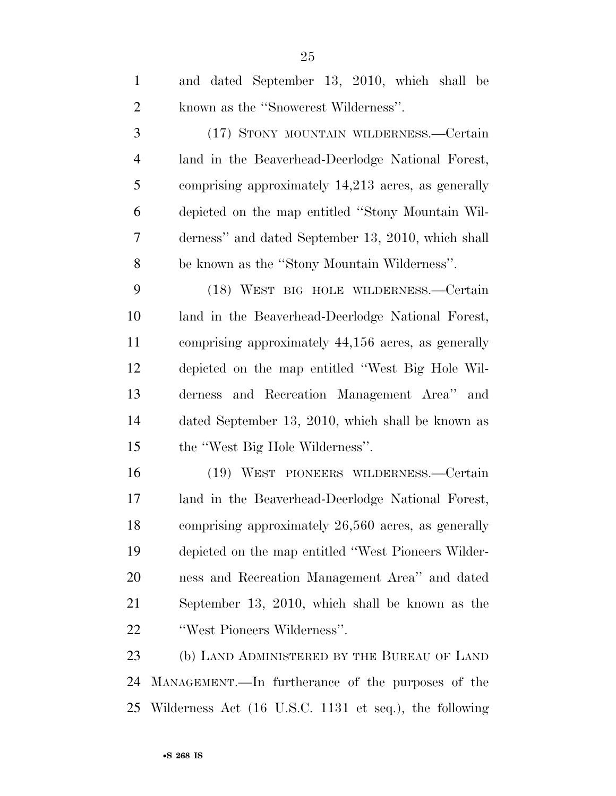| $\mathbf{1}$   | and dated September 13, 2010, which shall be        |
|----------------|-----------------------------------------------------|
| $\overline{2}$ | known as the "Snowcrest Wilderness".                |
| 3              | (17) STONY MOUNTAIN WILDERNESS.—Certain             |
| $\overline{4}$ | land in the Beaverhead-Deerlodge National Forest,   |
| 5              | comprising approximately 14,213 acres, as generally |
| 6              | depicted on the map entitled "Stony Mountain Wil-   |
| 7              | derness" and dated September 13, 2010, which shall  |
| 8              | be known as the "Stony Mountain Wilderness".        |
| 9              | (18) WEST BIG HOLE WILDERNESS.-Certain              |
| 10             | land in the Beaverhead-Deerlodge National Forest,   |
| 11             | comprising approximately 44,156 acres, as generally |
| 12             | depicted on the map entitled "West Big Hole Wil-    |
| 13             | derness and Recreation Management Area" and         |
| 14             | dated September 13, 2010, which shall be known as   |
| 15             | the "West Big Hole Wilderness".                     |
| 16             | (19) WEST PIONEERS WILDERNESS.—Certain              |
| 17             | land in the Beaverhead-Deerlodge National Forest,   |
| 18             | comprising approximately 26,560 acres, as generally |
| 19             | depicted on the map entitled "West Pioneers Wilder- |
| 20             | ness and Recreation Management Area" and dated      |
| 21             | September 13, 2010, which shall be known as the     |
| 22             | "West Pioneers Wilderness".                         |
| 23             | (b) LAND ADMINISTERED BY THE BUREAU OF LAND         |
| 24             | MANAGEMENT.—In furtherance of the purposes of the   |

Wilderness Act (16 U.S.C. 1131 et seq.), the following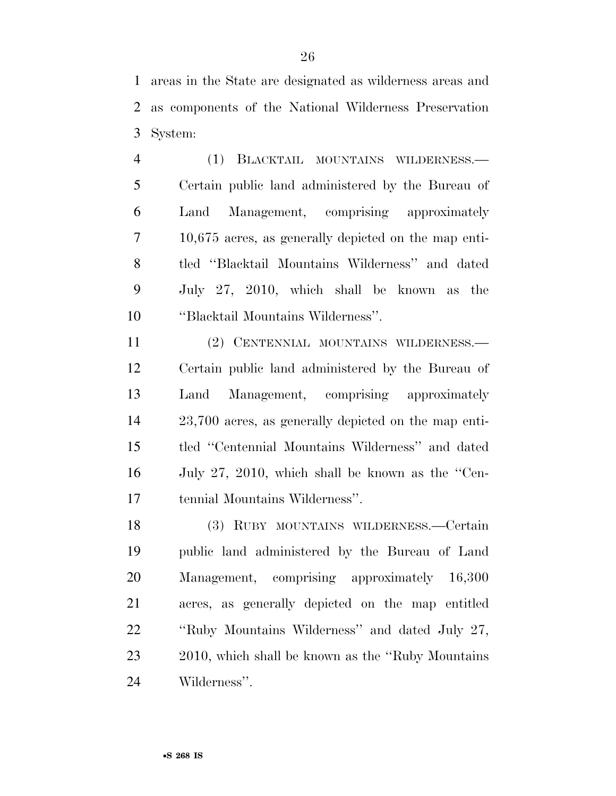areas in the State are designated as wilderness areas and as components of the National Wilderness Preservation System:

 (1) BLACKTAIL MOUNTAINS WILDERNESS.— Certain public land administered by the Bureau of Land Management, comprising approximately 10,675 acres, as generally depicted on the map enti- tled ''Blacktail Mountains Wilderness'' and dated July 27, 2010, which shall be known as the ''Blacktail Mountains Wilderness''.

 (2) CENTENNIAL MOUNTAINS WILDERNESS.— Certain public land administered by the Bureau of Land Management, comprising approximately 23,700 acres, as generally depicted on the map enti- tled ''Centennial Mountains Wilderness'' and dated July 27, 2010, which shall be known as the ''Cen-tennial Mountains Wilderness''.

 (3) RUBY MOUNTAINS WILDERNESS.—Certain public land administered by the Bureau of Land Management, comprising approximately 16,300 acres, as generally depicted on the map entitled ''Ruby Mountains Wilderness'' and dated July 27, 2010, which shall be known as the ''Ruby Mountains Wilderness''.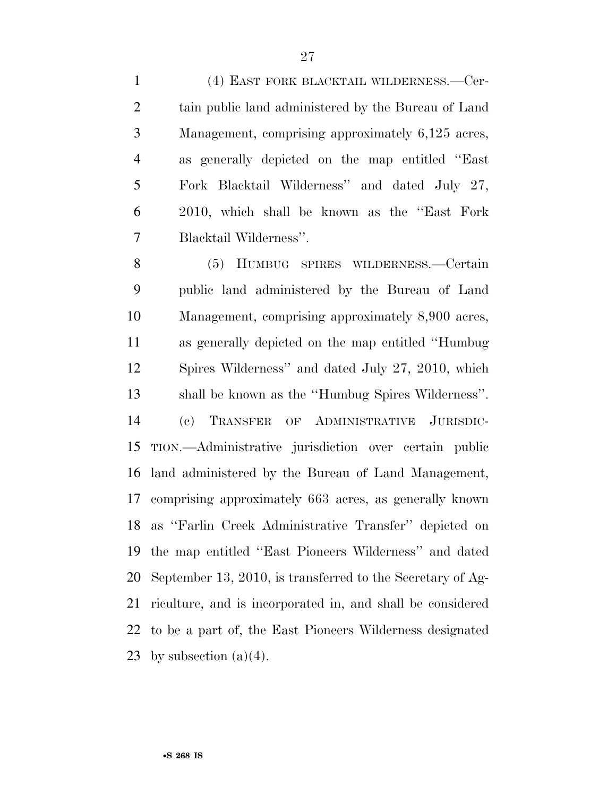(4) EAST FORK BLACKTAIL WILDERNESS.—Cer- tain public land administered by the Bureau of Land Management, comprising approximately 6,125 acres, as generally depicted on the map entitled ''East Fork Blacktail Wilderness'' and dated July 27, 2010, which shall be known as the ''East Fork Blacktail Wilderness''.

 (5) HUMBUG SPIRES WILDERNESS.—Certain public land administered by the Bureau of Land Management, comprising approximately 8,900 acres, as generally depicted on the map entitled ''Humbug Spires Wilderness'' and dated July 27, 2010, which shall be known as the ''Humbug Spires Wilderness''. (c) TRANSFER OF ADMINISTRATIVE JURISDIC- TION.—Administrative jurisdiction over certain public land administered by the Bureau of Land Management, comprising approximately 663 acres, as generally known as ''Farlin Creek Administrative Transfer'' depicted on the map entitled ''East Pioneers Wilderness'' and dated September 13, 2010, is transferred to the Secretary of Ag- riculture, and is incorporated in, and shall be considered to be a part of, the East Pioneers Wilderness designated 23 by subsection  $(a)(4)$ .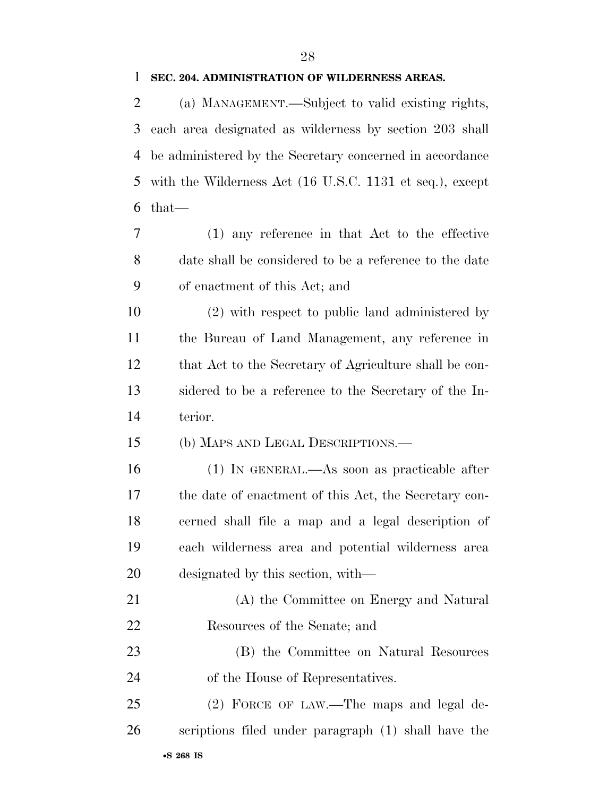#### **SEC. 204. ADMINISTRATION OF WILDERNESS AREAS.**

 (a) MANAGEMENT.—Subject to valid existing rights, each area designated as wilderness by section 203 shall be administered by the Secretary concerned in accordance with the Wilderness Act (16 U.S.C. 1131 et seq.), except that—

 (1) any reference in that Act to the effective date shall be considered to be a reference to the date of enactment of this Act; and

 (2) with respect to public land administered by the Bureau of Land Management, any reference in that Act to the Secretary of Agriculture shall be con- sidered to be a reference to the Secretary of the In-terior.

(b) MAPS AND LEGAL DESCRIPTIONS.—

 (1) IN GENERAL.—As soon as practicable after the date of enactment of this Act, the Secretary con- cerned shall file a map and a legal description of each wilderness area and potential wilderness area designated by this section, with—

 (A) the Committee on Energy and Natural Resources of the Senate; and

 (B) the Committee on Natural Resources of the House of Representatives.

 (2) FORCE OF LAW.—The maps and legal de-scriptions filed under paragraph (1) shall have the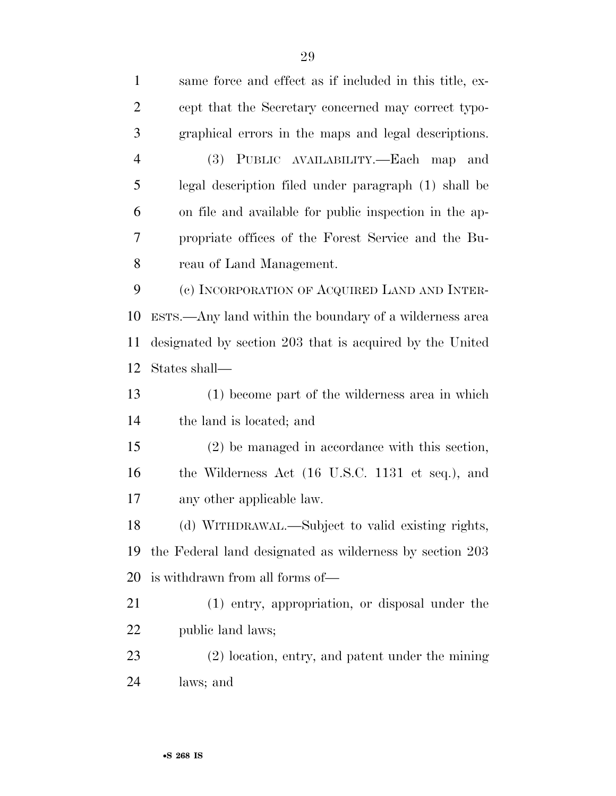| $\mathbf{1}$   | same force and effect as if included in this title, ex-  |
|----------------|----------------------------------------------------------|
| $\overline{2}$ | cept that the Secretary concerned may correct typo-      |
| 3              | graphical errors in the maps and legal descriptions.     |
| $\overline{4}$ | (3) PUBLIC AVAILABILITY.—Each map and                    |
| 5              | legal description filed under paragraph (1) shall be     |
| 6              | on file and available for public inspection in the ap-   |
| 7              | propriate offices of the Forest Service and the Bu-      |
| 8              | reau of Land Management.                                 |
| 9              | (c) INCORPORATION OF ACQUIRED LAND AND INTER-            |
| 10             | ESTS.—Any land within the boundary of a wilderness area  |
| 11             | designated by section 203 that is acquired by the United |
| 12             | States shall—                                            |
| 13             | (1) become part of the wilderness area in which          |
| 14             | the land is located; and                                 |
| 15             | $(2)$ be managed in accordance with this section,        |
| 16             | the Wilderness Act (16 U.S.C. 1131 et seq.), and         |
| 17             | any other applicable law.                                |
| 18             | (d) WITHDRAWAL.—Subject to valid existing rights,        |
| 19             | the Federal land designated as wilderness by section 203 |
| 20             | is withdrawn from all forms of—                          |
| 21             | (1) entry, appropriation, or disposal under the          |
| 22             | public land laws;                                        |
| 23             | $(2)$ location, entry, and patent under the mining       |
| 24             | laws; and                                                |
|                |                                                          |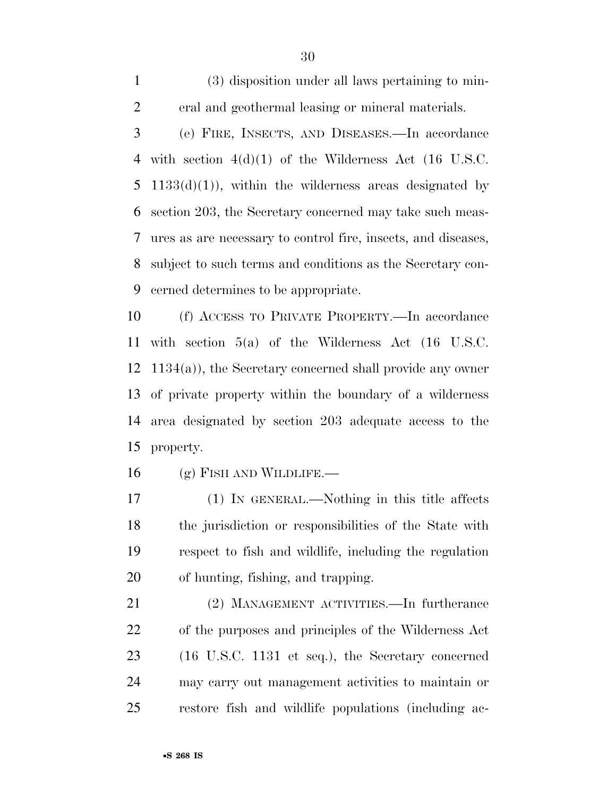(3) disposition under all laws pertaining to min-eral and geothermal leasing or mineral materials.

 (e) FIRE, INSECTS, AND DISEASES.—In accordance with section 4(d)(1) of the Wilderness Act (16 U.S.C.  $1133(d)(1)$ , within the wilderness areas designated by section 203, the Secretary concerned may take such meas- ures as are necessary to control fire, insects, and diseases, subject to such terms and conditions as the Secretary con-cerned determines to be appropriate.

 (f) ACCESS TO PRIVATE PROPERTY.—In accordance with section 5(a) of the Wilderness Act (16 U.S.C. 1134(a)), the Secretary concerned shall provide any owner of private property within the boundary of a wilderness area designated by section 203 adequate access to the property.

(g) FISH AND WILDLIFE.

 (1) IN GENERAL.—Nothing in this title affects the jurisdiction or responsibilities of the State with respect to fish and wildlife, including the regulation of hunting, fishing, and trapping.

 (2) MANAGEMENT ACTIVITIES.—In furtherance of the purposes and principles of the Wilderness Act (16 U.S.C. 1131 et seq.), the Secretary concerned may carry out management activities to maintain or restore fish and wildlife populations (including ac-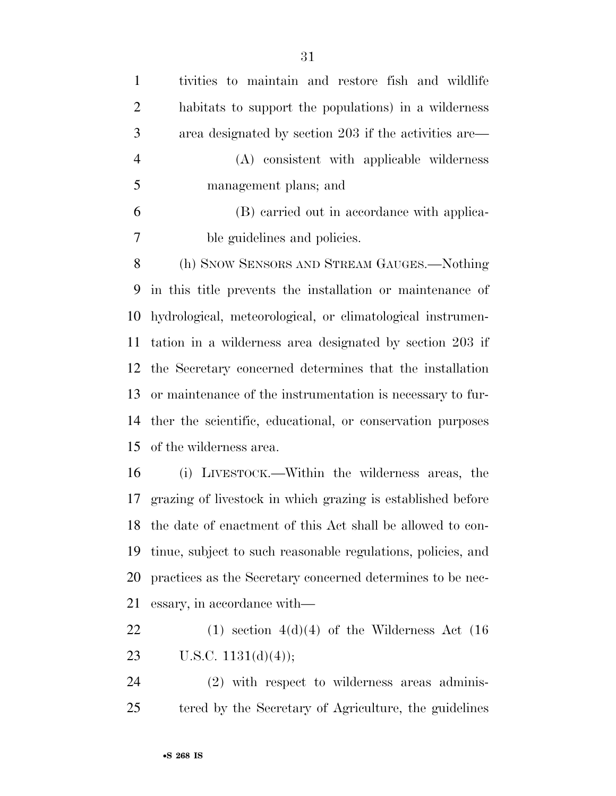| $\mathbf{1}$   | tivities to maintain and restore fish and wildlife                                                                                                                                                                                                                                                                                                                                   |
|----------------|--------------------------------------------------------------------------------------------------------------------------------------------------------------------------------------------------------------------------------------------------------------------------------------------------------------------------------------------------------------------------------------|
| $\overline{2}$ | habitats to support the populations) in a wilderness                                                                                                                                                                                                                                                                                                                                 |
| 3              | area designated by section 203 if the activities are—                                                                                                                                                                                                                                                                                                                                |
| $\overline{4}$ | (A) consistent with applicable wilderness                                                                                                                                                                                                                                                                                                                                            |
| 5              | management plans; and                                                                                                                                                                                                                                                                                                                                                                |
| 6              | (B) carried out in accordance with applica-                                                                                                                                                                                                                                                                                                                                          |
| $\overline{7}$ | ble guidelines and policies.                                                                                                                                                                                                                                                                                                                                                         |
| 8              | (h) SNOW SENSORS AND STREAM GAUGES.—Nothing                                                                                                                                                                                                                                                                                                                                          |
| 9              | in this title prevents the installation or maintenance of                                                                                                                                                                                                                                                                                                                            |
|                | 10 hydrological, meteorological, or climatological instrumen-                                                                                                                                                                                                                                                                                                                        |
| 11             | tation in a wilderness area designated by section 203 if                                                                                                                                                                                                                                                                                                                             |
|                | 12 the Secretary concerned determines that the installation                                                                                                                                                                                                                                                                                                                          |
| 13             | or maintenance of the instrumentation is necessary to fur-                                                                                                                                                                                                                                                                                                                           |
|                | 14 ther the scientific, educational, or conservation purposes                                                                                                                                                                                                                                                                                                                        |
|                | 15 of the wilderness area.                                                                                                                                                                                                                                                                                                                                                           |
|                | $\mathbf{1} \mathcal{L}$ $\mathbf{1} \mathcal{L}$ $\mathbf{1} \mathcal{L}$ $\mathbf{1} \mathcal{L}$ $\mathbf{1} \mathcal{L}$ $\mathbf{1} \mathcal{L}$ $\mathbf{1} \mathcal{L}$ $\mathbf{1} \mathcal{L}$ $\mathbf{1} \mathcal{L}$ $\mathbf{1} \mathcal{L}$ $\mathbf{1} \mathcal{L}$ $\mathbf{1} \mathcal{L}$ $\mathbf{1} \mathcal{L}$ $\mathbf{1} \mathcal{L}$ $\mathbf{1} \mathcal{$ |

 (i) LIVESTOCK.—Within the wilderness areas, the grazing of livestock in which grazing is established before the date of enactment of this Act shall be allowed to con- tinue, subject to such reasonable regulations, policies, and practices as the Secretary concerned determines to be nec-essary, in accordance with—

22 (1) section  $4(d)(4)$  of the Wilderness Act (16) 23 U.S.C.  $1131(d)(4)$ ;

 (2) with respect to wilderness areas adminis-tered by the Secretary of Agriculture, the guidelines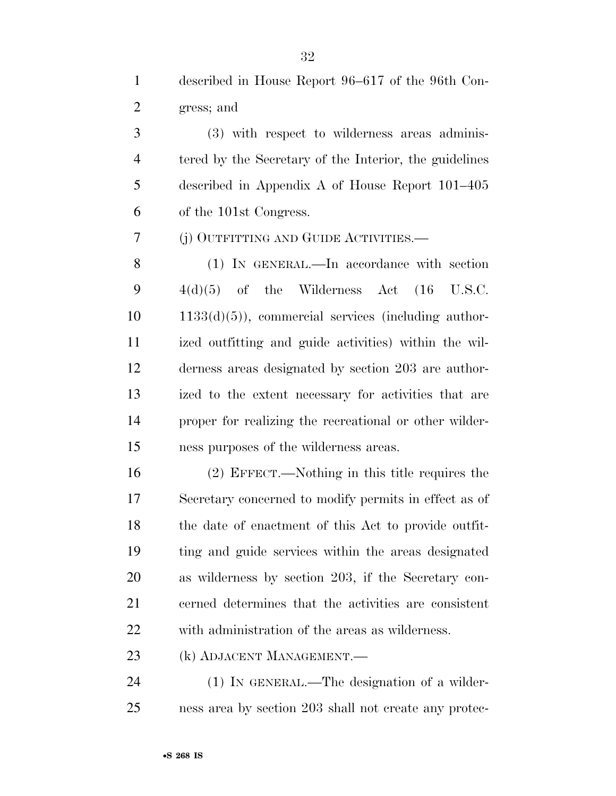described in House Report 96–617 of the 96th Con-gress; and

 (3) with respect to wilderness areas adminis- tered by the Secretary of the Interior, the guidelines described in Appendix A of House Report 101–405 of the 101st Congress.

(j) OUTFITTING AND GUIDE ACTIVITIES.—

 (1) IN GENERAL.—In accordance with section  $4(d)(5)$  of the Wilderness Act  $(16 \text{ U.S.C.})$  1133(d)(5)), commercial services (including author- ized outfitting and guide activities) within the wil- derness areas designated by section 203 are author- ized to the extent necessary for activities that are proper for realizing the recreational or other wilder-ness purposes of the wilderness areas.

 (2) EFFECT.—Nothing in this title requires the Secretary concerned to modify permits in effect as of the date of enactment of this Act to provide outfit- ting and guide services within the areas designated as wilderness by section 203, if the Secretary con- cerned determines that the activities are consistent with administration of the areas as wilderness.

(k) ADJACENT MANAGEMENT.—

 (1) IN GENERAL.—The designation of a wilder-ness area by section 203 shall not create any protec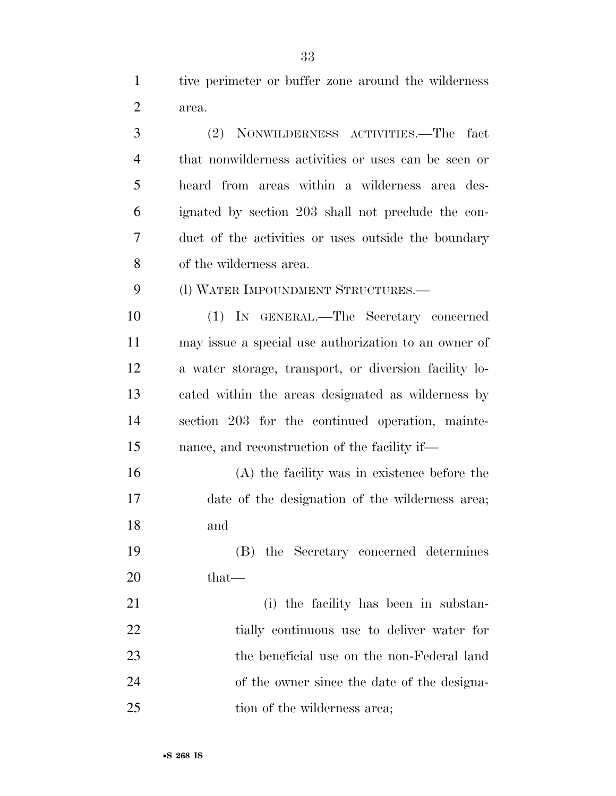tive perimeter or buffer zone around the wilderness area.

 (2) NONWILDERNESS ACTIVITIES.—The fact that nonwilderness activities or uses can be seen or heard from areas within a wilderness area des- ignated by section 203 shall not preclude the con- duct of the activities or uses outside the boundary of the wilderness area. (l) WATER IMPOUNDMENT STRUCTURES.— (1) IN GENERAL.—The Secretary concerned

 may issue a special use authorization to an owner of a water storage, transport, or diversion facility lo- cated within the areas designated as wilderness by section 203 for the continued operation, mainte-nance, and reconstruction of the facility if—

 (A) the facility was in existence before the date of the designation of the wilderness area; and

 (B) the Secretary concerned determines 20 that—

 (i) the facility has been in substan-22 tially continuous use to deliver water for the beneficial use on the non-Federal land of the owner since the date of the designa-25 tion of the wilderness area;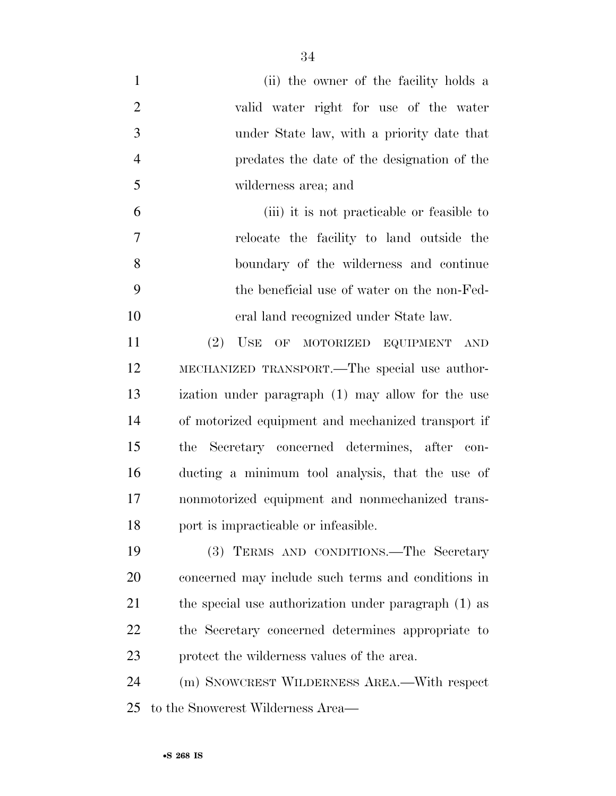| $\mathbf{1}$   | (ii) the owner of the facility holds a               |
|----------------|------------------------------------------------------|
| $\overline{2}$ | valid water right for use of the water               |
| 3              | under State law, with a priority date that           |
| $\overline{4}$ | predates the date of the designation of the          |
| 5              | wilderness area; and                                 |
| 6              | (iii) it is not practicable or feasible to           |
| 7              | relocate the facility to land outside the            |
| 8              | boundary of the wilderness and continue              |
| 9              | the beneficial use of water on the non-Fed-          |
| 10             | eral land recognized under State law.                |
| 11             | (2)<br>USE OF MOTORIZED EQUIPMENT<br>AND             |
| 12             | MECHANIZED TRANSPORT.—The special use author-        |
| 13             | ization under paragraph (1) may allow for the use    |
| 14             | of motorized equipment and mechanized transport if   |
| 15             | the Secretary concerned determines, after con-       |
| 16             | ducting a minimum tool analysis, that the use of     |
| 17             | nonmotorized equipment and nonmechanized trans-      |
| 18             | port is impracticable or infeasible.                 |
| 19             | (3) TERMS AND CONDITIONS.—The Secretary              |
| 20             | concerned may include such terms and conditions in   |
| 21             | the special use authorization under paragraph (1) as |
| 22             | the Secretary concerned determines appropriate to    |
| 23             | protect the wilderness values of the area.           |
| 24             | (m) SNOWCREST WILDERNESS AREA.—With respect          |
| 25             | to the Snowcrest Wilderness Area—                    |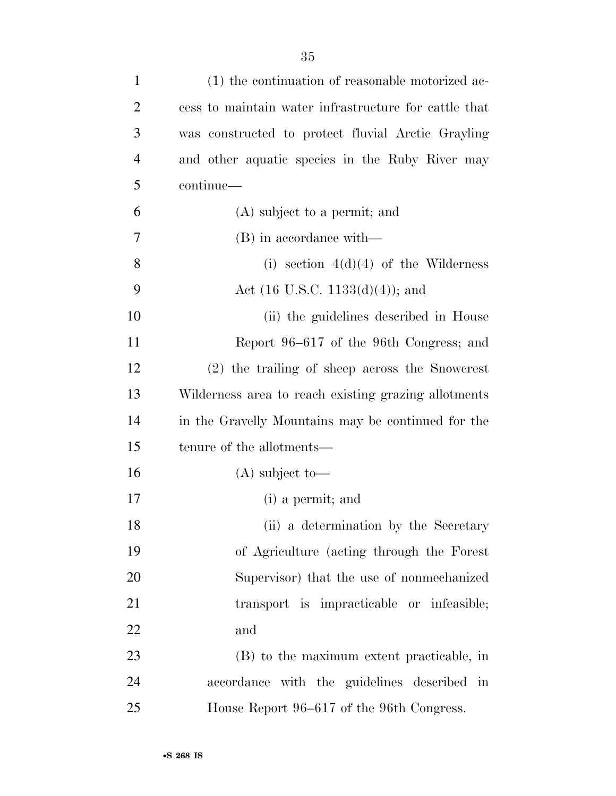| $\mathbf{1}$   | (1) the continuation of reasonable motorized ac-      |
|----------------|-------------------------------------------------------|
| $\overline{2}$ | cess to maintain water infrastructure for cattle that |
| 3              | was constructed to protect fluvial Arctic Grayling    |
| $\overline{4}$ | and other aquatic species in the Ruby River may       |
| 5              | continue-                                             |
| 6              | (A) subject to a permit; and                          |
| 7              | (B) in accordance with—                               |
| 8              | (i) section $4(d)(4)$ of the Wilderness               |
| 9              | Act $(16 \text{ U.S.C. } 1133(d)(4))$ ; and           |
| 10             | (ii) the guidelines described in House                |
| 11             | Report 96–617 of the 96th Congress; and               |
| 12             | (2) the trailing of sheep across the Snowcrest        |
| 13             | Wilderness area to reach existing grazing allotments  |
| 14             | in the Gravelly Mountains may be continued for the    |
| 15             | tenure of the allotments—                             |
| 16             | $(A)$ subject to-                                     |
| 17             | (i) a permit; and                                     |
| 18             | (ii) a determination by the Secretary                 |
| 19             | of Agriculture (acting through the Forest             |
| 20             | Supervisor) that the use of nonmechanized             |
| 21             | transport is impracticable or infeasible;             |
| 22             | and                                                   |
| 23             | (B) to the maximum extent practicable, in             |
| 24             | accordance with the guidelines described in           |
| 25             | House Report 96–617 of the 96th Congress.             |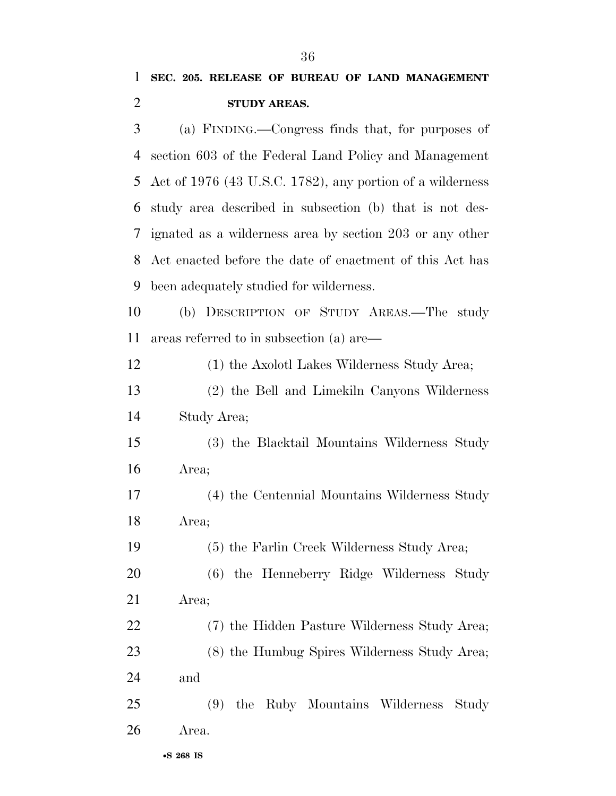(a) FINDING.—Congress finds that, for purposes of section 603 of the Federal Land Policy and Management Act of 1976 (43 U.S.C. 1782), any portion of a wilderness study area described in subsection (b) that is not des- ignated as a wilderness area by section 203 or any other Act enacted before the date of enactment of this Act has been adequately studied for wilderness.

 (b) DESCRIPTION OF STUDY AREAS.—The study areas referred to in subsection (a) are—

 (1) the Axolotl Lakes Wilderness Study Area; (2) the Bell and Limekiln Canyons Wilderness Study Area;

 (3) the Blacktail Mountains Wilderness Study Area;

 (4) the Centennial Mountains Wilderness Study Area;

(5) the Farlin Creek Wilderness Study Area;

 (6) the Henneberry Ridge Wilderness Study Area;

 (7) the Hidden Pasture Wilderness Study Area; (8) the Humbug Spires Wilderness Study Area;

and

 (9) the Ruby Mountains Wilderness Study Area.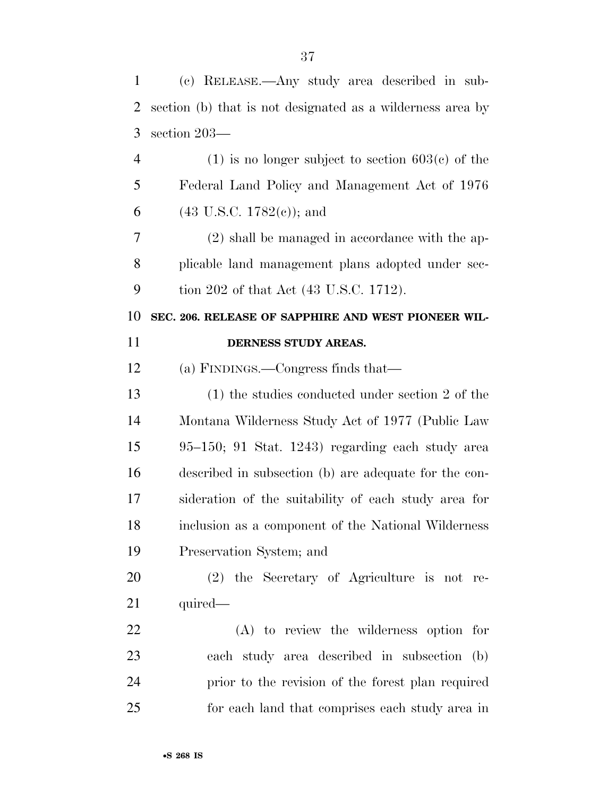| $\mathbf{1}$   | (c) RELEASE.—Any study area described in sub-              |
|----------------|------------------------------------------------------------|
| $\overline{2}$ | section (b) that is not designated as a wilderness area by |
| 3              | section 203-                                               |
| $\overline{4}$ | $(1)$ is no longer subject to section 603(c) of the        |
| 5              | Federal Land Policy and Management Act of 1976             |
| 6              | $(43 \text{ U.S.C. } 1782(c))$ ; and                       |
| 7              | $(2)$ shall be managed in accordance with the ap-          |
| 8              | plicable land management plans adopted under sec-          |
| 9              | tion 202 of that Act (43 U.S.C. 1712).                     |
| 10             | SEC. 206. RELEASE OF SAPPHIRE AND WEST PIONEER WIL-        |
| 11             | DERNESS STUDY AREAS.                                       |
| 12             | (a) FINDINGS.—Congress finds that—                         |
| 13             | $(1)$ the studies conducted under section 2 of the         |
| 14             | Montana Wilderness Study Act of 1977 (Public Law           |
| 15             | 95–150; 91 Stat. 1243) regarding each study area           |
| 16             | described in subsection (b) are adequate for the con-      |
| 17             | sideration of the suitability of each study area for       |
| 18             | inclusion as a component of the National Wilderness        |
| 19             | Preservation System; and                                   |
| 20             | (2) the Secretary of Agriculture is not re-                |
| 21             | quired—                                                    |
| 22             | (A) to review the wilderness option for                    |
| 23             | each study area described in subsection<br>(b)             |
| 24             | prior to the revision of the forest plan required          |
| 25             | for each land that comprises each study area in            |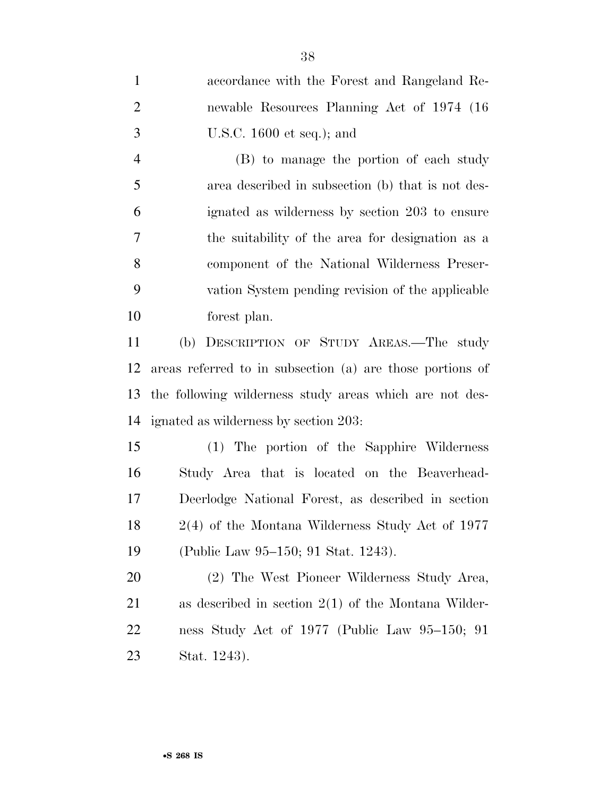| $\mathbf{1}$   | accordance with the Forest and Rangeland Re-              |
|----------------|-----------------------------------------------------------|
| $\overline{2}$ | newable Resources Planning Act of 1974 (16)               |
| 3              | U.S.C. $1600$ et seq.); and                               |
| $\overline{4}$ | (B) to manage the portion of each study                   |
| 5              | area described in subsection (b) that is not des-         |
| 6              | ignated as wilderness by section 203 to ensure            |
| 7              | the suitability of the area for designation as a          |
| 8              | component of the National Wilderness Preser-              |
| 9              | vation System pending revision of the applicable          |
| 10             | forest plan.                                              |
| 11             | (b) DESCRIPTION OF STUDY AREAS.—The study                 |
| 12             | areas referred to in subsection (a) are those portions of |
| 13             | the following wilderness study areas which are not des-   |
| 14             | ignated as wilderness by section 203:                     |
| 15             | (1) The portion of the Sapphire Wilderness                |
| 16             | Study Area that is located on the Beaverhead-             |
| 17             | Deerlodge National Forest, as described in section        |
| 18             | $2(4)$ of the Montana Wilderness Study Act of 1977        |
| 19             | (Public Law 95–150; 91 Stat. 1243).                       |
| 20             | (2) The West Pioneer Wilderness Study Area,               |
| 21             | as described in section $2(1)$ of the Montana Wilder-     |
| 22             | ness Study Act of 1977 (Public Law 95–150; 91             |
| 23             | Stat. 1243).                                              |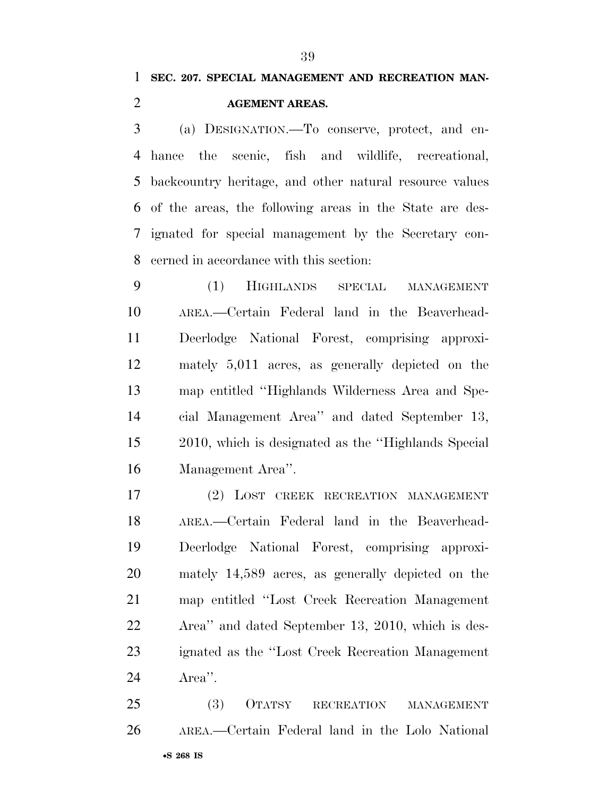## **SEC. 207. SPECIAL MANAGEMENT AND RECREATION MAN-AGEMENT AREAS.**

 (a) DESIGNATION.—To conserve, protect, and en- hance the scenic, fish and wildlife, recreational, backcountry heritage, and other natural resource values of the areas, the following areas in the State are des- ignated for special management by the Secretary con-cerned in accordance with this section:

 (1) HIGHLANDS SPECIAL MANAGEMENT AREA.—Certain Federal land in the Beaverhead- Deerlodge National Forest, comprising approxi- mately 5,011 acres, as generally depicted on the map entitled ''Highlands Wilderness Area and Spe- cial Management Area'' and dated September 13, 2010, which is designated as the ''Highlands Special Management Area''.

 (2) LOST CREEK RECREATION MANAGEMENT AREA.—Certain Federal land in the Beaverhead- Deerlodge National Forest, comprising approxi- mately 14,589 acres, as generally depicted on the map entitled ''Lost Creek Recreation Management Area'' and dated September 13, 2010, which is des- ignated as the ''Lost Creek Recreation Management Area''.

•**S 268 IS** (3) OTATSY RECREATION MANAGEMENT AREA.—Certain Federal land in the Lolo National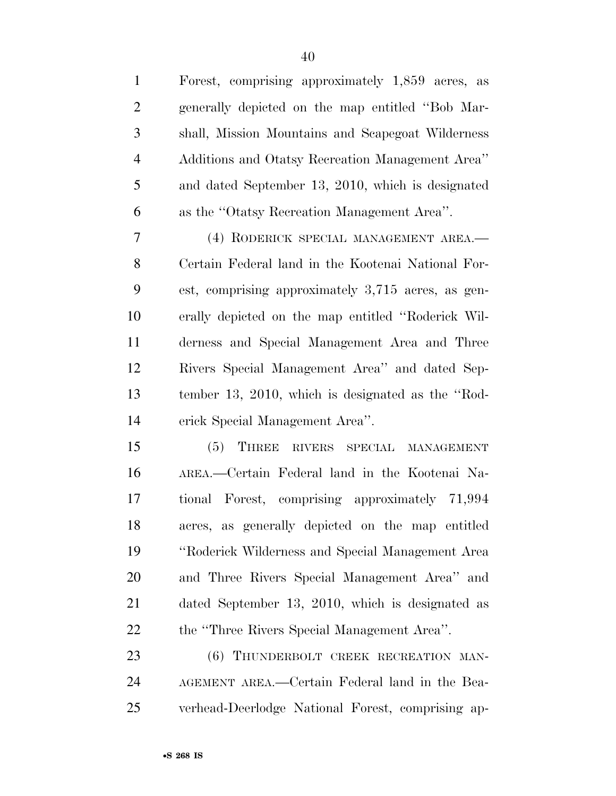| $\mathbf{1}$   | Forest, comprising approximately 1,859 acres, as   |
|----------------|----------------------------------------------------|
| $\overline{c}$ | generally depicted on the map entitled "Bob Mar-   |
| 3              | shall, Mission Mountains and Scapegoat Wilderness  |
| $\overline{4}$ | Additions and Otatsy Recreation Management Area"   |
| 5              | and dated September 13, 2010, which is designated  |
| 6              | as the "Otatsy Recreation Management Area".        |
| 7              | (4) RODERICK SPECIAL MANAGEMENT AREA.-             |
| 8              | Certain Federal land in the Kootenai National For- |
| 9              | est, comprising approximately 3,715 acres, as gen- |
| 10             | erally depicted on the map entitled "Roderick Wil- |
| 11             | derness and Special Management Area and Three      |
| 12             | Rivers Special Management Area" and dated Sep-     |
| 13             | tember 13, 2010, which is designated as the "Rod-  |
| 14             | erick Special Management Area".                    |
| 15             | THREE RIVERS SPECIAL MANAGEMENT<br>(5)             |
| 16             | AREA.—Certain Federal land in the Kootenai Na-     |
| 17             | tional Forest, comprising approximately 71,994     |
| 18             | acres, as generally depicted on the map entitled   |
| 19             | "Roderick Wilderness and Special Management Area   |
| 20             | and Three Rivers Special Management Area" and      |
| 21             | dated September 13, 2010, which is designated as   |
| 22             | the "Three Rivers Special Management Area".        |
| 23             | (6) THUNDERBOLT CREEK RECREATION MAN-              |
| 24             | AGEMENT AREA.—Certain Federal land in the Bea-     |

verhead-Deerlodge National Forest, comprising ap-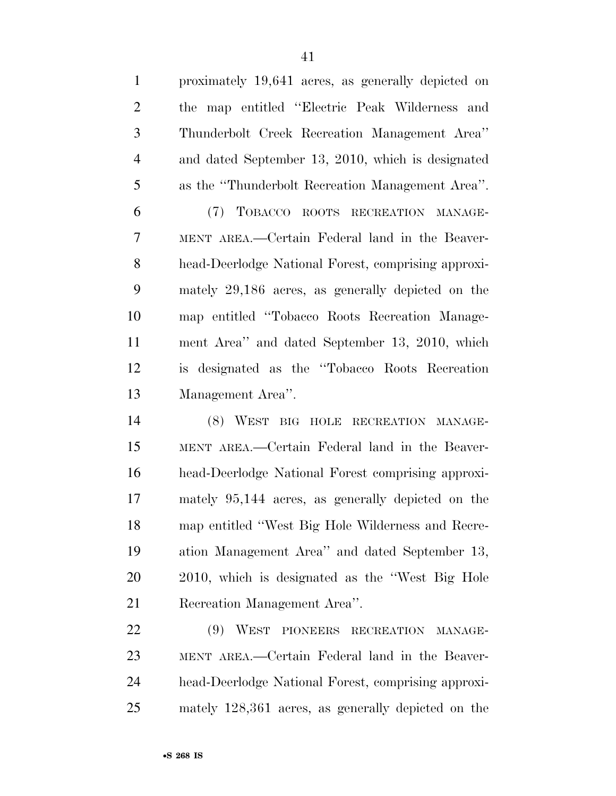| $\mathbf{1}$   | proximately 19,641 acres, as generally depicted on  |
|----------------|-----------------------------------------------------|
| $\overline{2}$ | the map entitled "Electric Peak Wilderness and      |
| 3              | Thunderbolt Creek Recreation Management Area"       |
| $\overline{4}$ | and dated September 13, 2010, which is designated   |
| 5              | as the "Thunderbolt Recreation Management Area".    |
| 6              | (7) TOBACCO ROOTS RECREATION MANAGE-                |
| 7              | MENT AREA.—Certain Federal land in the Beaver-      |
| 8              | head-Deerlodge National Forest, comprising approxi- |
| 9              | mately 29,186 acres, as generally depicted on the   |
| 10             | map entitled "Tobacco Roots Recreation Manage-      |
| 11             | ment Area" and dated September 13, 2010, which      |
| 12             | is designated as the "Tobacco Roots Recreation"     |
| 13             | Management Area".                                   |
| 14             | (8) WEST BIG HOLE RECREATION MANAGE-                |
| 15             | MENT AREA.—Certain Federal land in the Beaver-      |
| 16             | head-Deerlodge National Forest comprising approxi-  |
| 17             | mately 95,144 acres, as generally depicted on the   |

 Recreation Management Area''. (9) WEST PIONEERS RECREATION MANAGE- MENT AREA.—Certain Federal land in the Beaver- head-Deerlodge National Forest, comprising approxi-mately 128,361 acres, as generally depicted on the

map entitled ''West Big Hole Wilderness and Recre-

ation Management Area'' and dated September 13,

2010, which is designated as the ''West Big Hole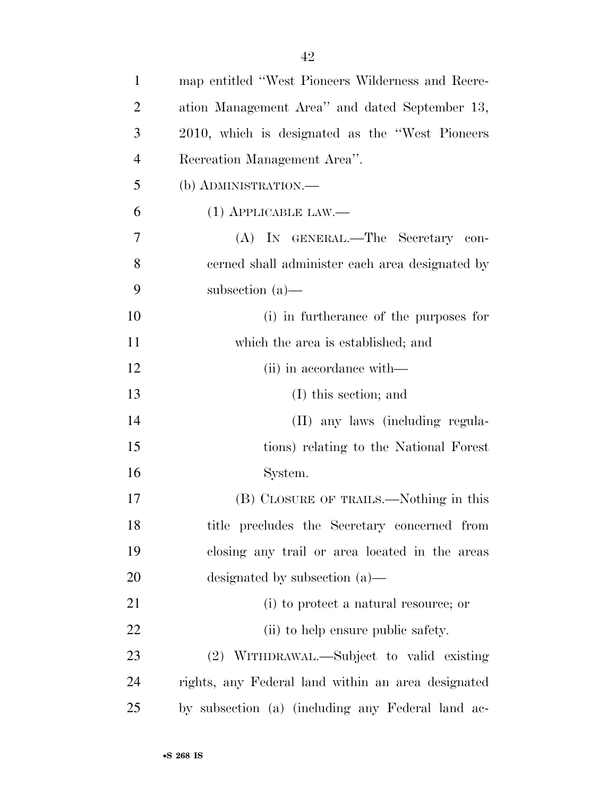| $\mathbf{1}$   | map entitled "West Pioneers Wilderness and Recre-  |
|----------------|----------------------------------------------------|
| $\overline{2}$ | ation Management Area" and dated September 13,     |
| 3              | 2010, which is designated as the "West Pioneers"   |
| $\overline{4}$ | Recreation Management Area".                       |
| 5              | (b) ADMINISTRATION.—                               |
| 6              | $(1)$ APPLICABLE LAW.—                             |
| 7              | (A) IN GENERAL.—The Secretary con-                 |
| 8              | cerned shall administer each area designated by    |
| 9              | subsection $(a)$ —                                 |
| 10             | (i) in furtherance of the purposes for             |
| 11             | which the area is established; and                 |
| 12             | (ii) in accordance with—                           |
| 13             | (I) this section; and                              |
| 14             | (II) any laws (including regula-                   |
| 15             | tions) relating to the National Forest             |
| 16             | System.                                            |
| 17             | (B) CLOSURE OF TRAILS.—Nothing in this             |
| 18             | title precludes the Secretary concerned from       |
| 19             | closing any trail or area located in the areas     |
| <b>20</b>      | designated by subsection $(a)$ —                   |
| 21             | (i) to protect a natural resource; or              |
| 22             | (ii) to help ensure public safety.                 |
| 23             | (2) WITHDRAWAL.—Subject to valid existing          |
| 24             | rights, any Federal land within an area designated |
| 25             | by subsection (a) (including any Federal land ac-  |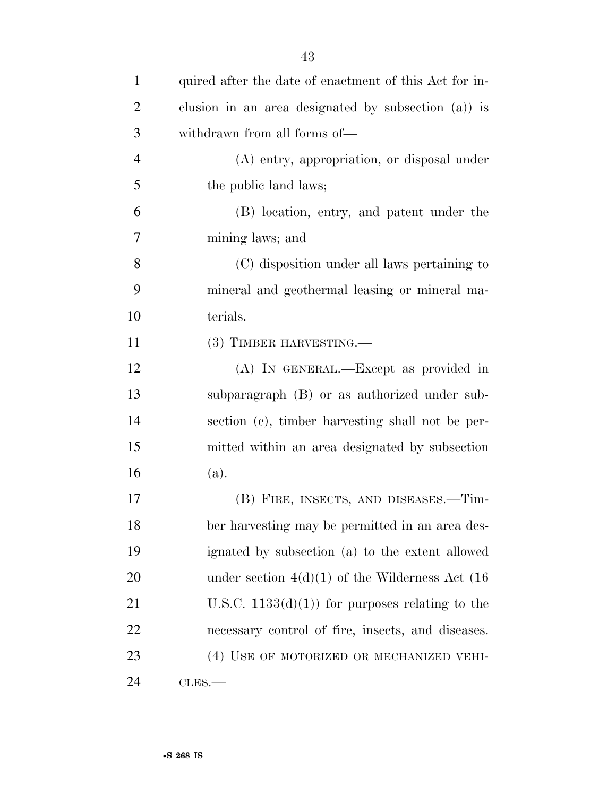| $\mathbf{1}$   | quired after the date of enactment of this Act for in- |
|----------------|--------------------------------------------------------|
| $\overline{2}$ | clusion in an area designated by subsection $(a)$ is   |
| 3              | withdrawn from all forms of—                           |
| $\overline{4}$ | (A) entry, appropriation, or disposal under            |
| 5              | the public land laws;                                  |
| 6              | (B) location, entry, and patent under the              |
| 7              | mining laws; and                                       |
| 8              | (C) disposition under all laws pertaining to           |
| 9              | mineral and geothermal leasing or mineral ma-          |
| 10             | terials.                                               |
| 11             | (3) TIMBER HARVESTING.—                                |
| 12             | (A) IN GENERAL.—Except as provided in                  |
| 13             | subparagraph (B) or as authorized under sub-           |
| 14             | section (c), timber harvesting shall not be per-       |
| 15             | mitted within an area designated by subsection         |
| 16             | (a).                                                   |
| 17             | (B) FIRE, INSECTS, AND DISEASES.—Tim-                  |
| 18             | ber harvesting may be permitted in an area des-        |
| 19             | ignated by subsection (a) to the extent allowed        |
| 20             | under section $4(d)(1)$ of the Wilderness Act (16)     |
| 21             | U.S.C. $1133(d)(1)$ for purposes relating to the       |
| 22             | necessary control of fire, insects, and diseases.      |
| 23             | (4) USE OF MOTORIZED OR MECHANIZED VEHI-               |
| 24             | CLES.                                                  |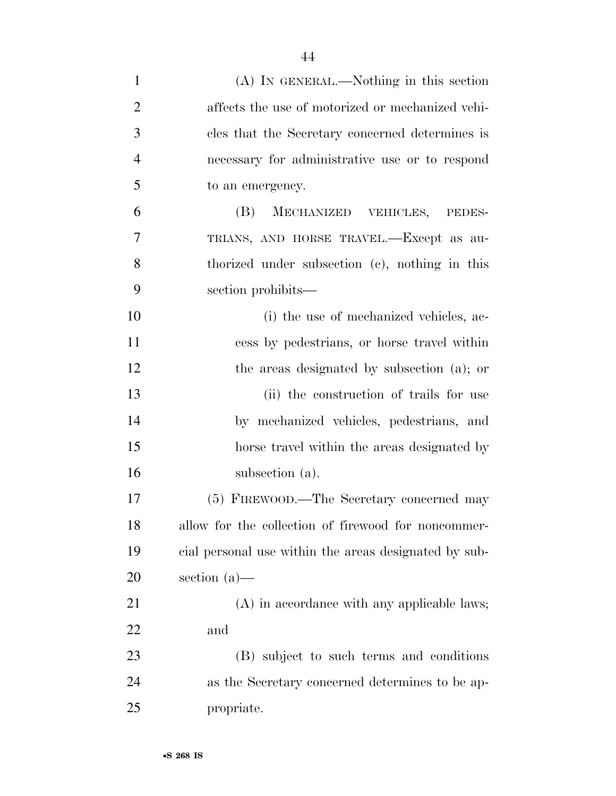| $\mathbf{1}$   | (A) IN GENERAL.—Nothing in this section               |
|----------------|-------------------------------------------------------|
| $\overline{2}$ | affects the use of motorized or mechanized vehi-      |
| 3              | cles that the Secretary concerned determines is       |
| $\overline{4}$ | necessary for administrative use or to respond        |
| 5              | to an emergency.                                      |
| 6              | (B)<br>MECHANIZED VEHICLES, PEDES-                    |
| $\overline{7}$ | TRIANS, AND HORSE TRAVEL.—Except as au-               |
| 8              | thorized under subsection (c), nothing in this        |
| 9              | section prohibits—                                    |
| 10             | (i) the use of mechanized vehicles, ac-               |
| 11             | cess by pedestrians, or horse travel within           |
| 12             | the areas designated by subsection (a); or            |
| 13             | (ii) the construction of trails for use               |
| 14             | by mechanized vehicles, pedestrians, and              |
| 15             | horse travel within the areas designated by           |
| 16             | subsection (a).                                       |
| 17             | (5) FIREWOOD.—The Secretary concerned may             |
| 18             | allow for the collection of firewood for noncommer-   |
| 19             | cial personal use within the areas designated by sub- |
| <b>20</b>      | section $(a)$ —                                       |
| 21             | (A) in accordance with any applicable laws;           |
| 22             | and                                                   |
| 23             | (B) subject to such terms and conditions              |
| 24             | as the Secretary concerned determines to be ap-       |
| 25             | propriate.                                            |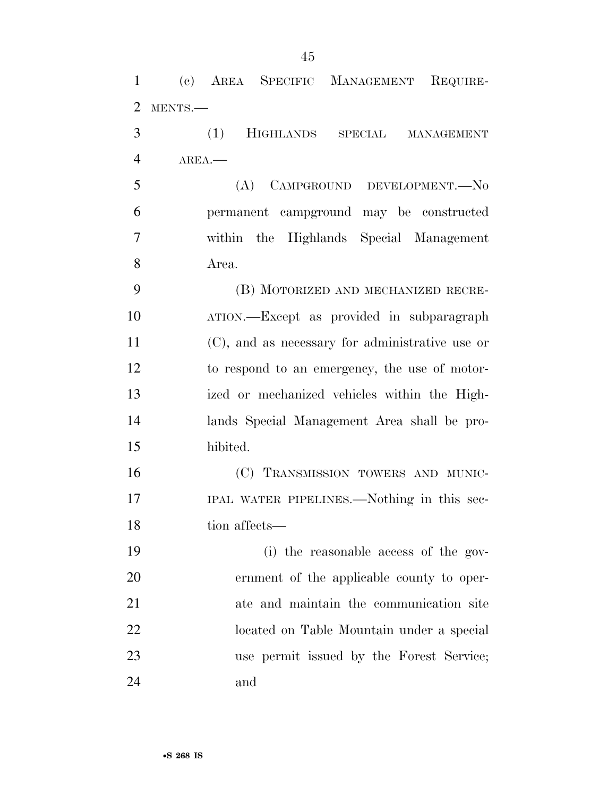| 1              | (c) AREA SPECIFIC MANAGEMENT REQUIRE-           |
|----------------|-------------------------------------------------|
| $\overline{2}$ | MENTS.-                                         |
| 3              | (1)<br>HIGHLANDS SPECIAL MANAGEMENT             |
| $\overline{4}$ | AREA.                                           |
| 5              | (A) CAMPGROUND DEVELOPMENT.-No                  |
| 6              | permanent campground may be constructed         |
| 7              | within the Highlands Special Management         |
| 8              | Area.                                           |
| 9              | (B) MOTORIZED AND MECHANIZED RECRE-             |
| 10             | ATION.—Except as provided in subparagraph       |
| 11             | (C), and as necessary for administrative use or |
| 12             | to respond to an emergency, the use of motor-   |
| 13             | ized or mechanized vehicles within the High-    |
| 14             | lands Special Management Area shall be pro-     |
| 15             | hibited.                                        |
| 16             | (C) TRANSMISSION TOWERS AND MUNIC-              |
| 17             | IPAL WATER PIPELINES.—Nothing in this sec-      |
| 18             | tion affects-                                   |
| 19             | (i) the reasonable access of the gov-           |
| 20             | ernment of the applicable county to oper-       |
| 21             | ate and maintain the communication site         |
| 22             | located on Table Mountain under a special       |
| 23             | use permit issued by the Forest Service;        |
| 24             | and                                             |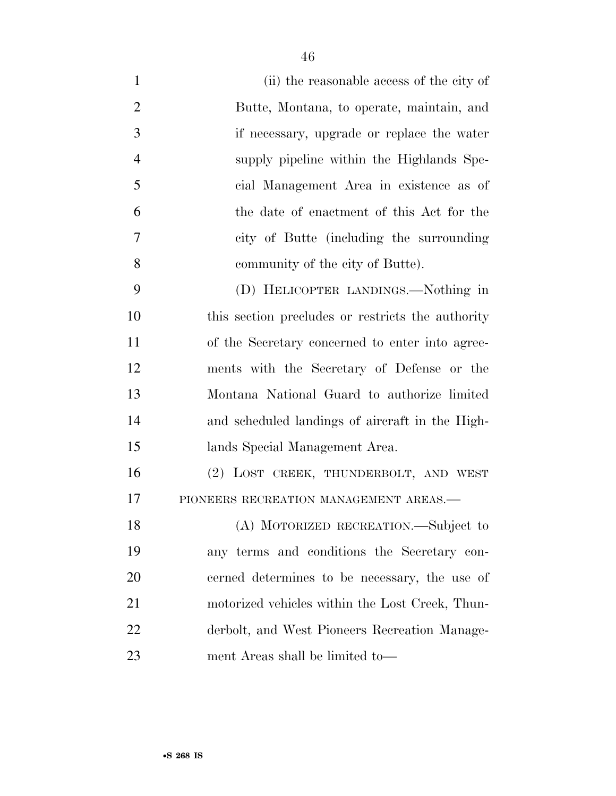| $\mathbf{1}$   | (ii) the reasonable access of the city of         |
|----------------|---------------------------------------------------|
| $\overline{2}$ | Butte, Montana, to operate, maintain, and         |
| 3              | if necessary, upgrade or replace the water        |
| $\overline{4}$ | supply pipeline within the Highlands Spe-         |
| 5              | cial Management Area in existence as of           |
| 6              | the date of enactment of this Act for the         |
| 7              | city of Butte (including the surrounding          |
| 8              | community of the city of Butte).                  |
| 9              | (D) HELICOPTER LANDINGS.—Nothing in               |
| 10             | this section precludes or restricts the authority |
| 11             | of the Secretary concerned to enter into agree-   |
| 12             | ments with the Secretary of Defense or the        |
| 13             | Montana National Guard to authorize limited       |
| 14             | and scheduled landings of aircraft in the High-   |
| 15             | lands Special Management Area.                    |
| 16             | (2) LOST CREEK, THUNDERBOLT, AND WEST             |
| 17             | PIONEERS RECREATION MANAGEMENT AREAS.-            |
| 18             | (A) MOTORIZED RECREATION.-Subject to              |
| 19             | any terms and conditions the Secretary con-       |
| 20             | cerned determines to be necessary, the use of     |
| 21             | motorized vehicles within the Lost Creek, Thun-   |
| 22             | derbolt, and West Pioneers Recreation Manage-     |
| 23             | ment Areas shall be limited to—                   |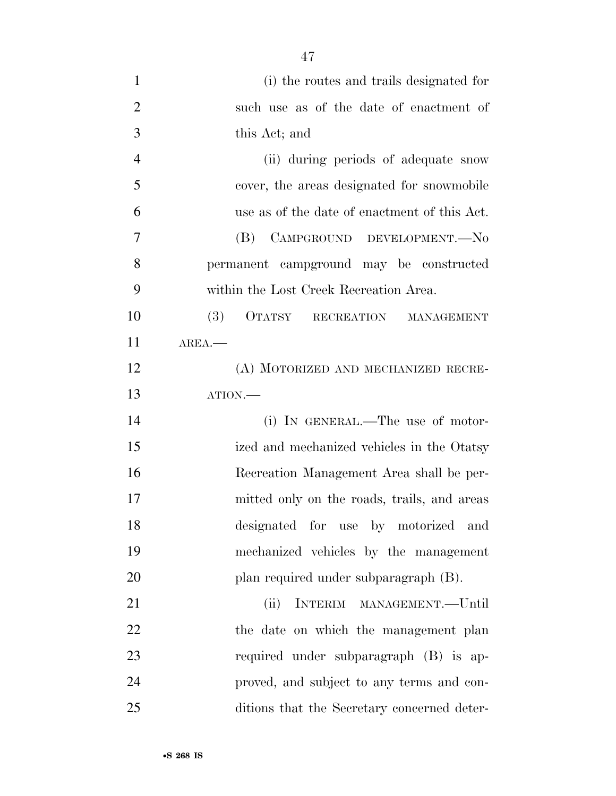| $\mathbf{1}$   | (i) the routes and trails designated for     |
|----------------|----------------------------------------------|
| $\overline{2}$ | such use as of the date of enactment of      |
| 3              | this Act; and                                |
| $\overline{4}$ | (ii) during periods of adequate snow         |
| 5              | cover, the areas designated for snowmobile   |
| 6              | use as of the date of enactment of this Act. |
| 7              | CAMPGROUND DEVELOPMENT.-No<br>(B)            |
| 8              | permanent campground may be constructed      |
| 9              | within the Lost Creek Recreation Area.       |
| 10             | (3)<br>OTATSY RECREATION MANAGEMENT          |
| 11             | $AREA$ .                                     |
| 12             | (A) MOTORIZED AND MECHANIZED RECRE-          |
| 13             | ATION.                                       |
| 14             | (i) IN GENERAL.—The use of motor-            |
| 15             | ized and mechanized vehicles in the Otatsy   |
| 16             | Recreation Management Area shall be per-     |
| 17             | mitted only on the roads, trails, and areas  |
| 18             | designated for use by motorized and          |
| 19             | mechanized vehicles by the management        |
| 20             | plan required under subparagraph (B).        |
| 21             | INTERIM MANAGEMENT.-Until<br>(ii)            |
| 22             | the date on which the management plan        |
| 23             | required under subparagraph (B) is ap-       |
| 24             | proved, and subject to any terms and con-    |
| 25             | ditions that the Secretary concerned deter-  |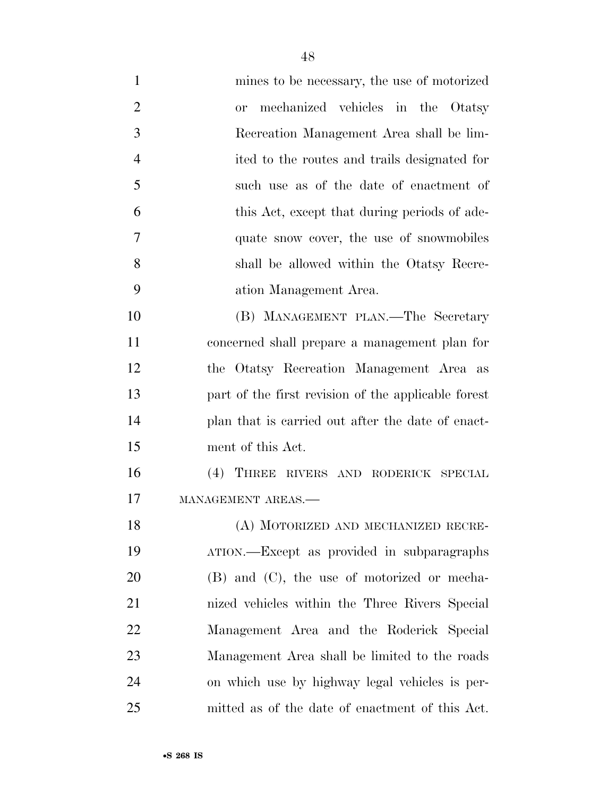- mines to be necessary, the use of motorized or mechanized vehicles in the Otatsy Recreation Management Area shall be lim- ited to the routes and trails designated for such use as of the date of enactment of this Act, except that during periods of ade- quate snow cover, the use of snowmobiles shall be allowed within the Otatsy Recre- ation Management Area. (B) MANAGEMENT PLAN.—The Secretary concerned shall prepare a management plan for the Otatsy Recreation Management Area as part of the first revision of the applicable forest plan that is carried out after the date of enact- ment of this Act. (4) THREE RIVERS AND RODERICK SPECIAL 17 MANAGEMENT AREAS. (A) MOTORIZED AND MECHANIZED RECRE- ATION.—Except as provided in subparagraphs (B) and (C), the use of motorized or mecha-
- nized vehicles within the Three Rivers Special Management Area and the Roderick Special Management Area shall be limited to the roads on which use by highway legal vehicles is per-mitted as of the date of enactment of this Act.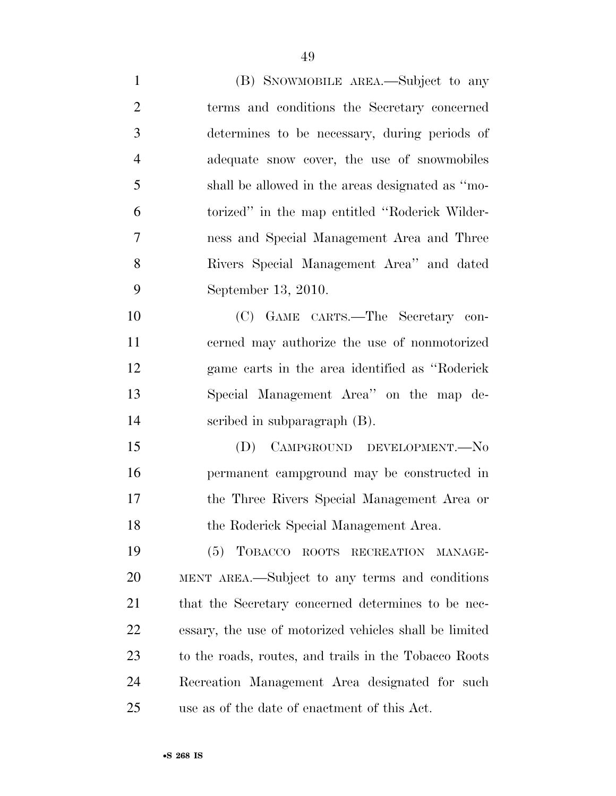(B) SNOWMOBILE AREA.—Subject to any terms and conditions the Secretary concerned determines to be necessary, during periods of adequate snow cover, the use of snowmobiles shall be allowed in the areas designated as ''mo- torized'' in the map entitled ''Roderick Wilder- ness and Special Management Area and Three Rivers Special Management Area'' and dated September 13, 2010. (C) GAME CARTS.—The Secretary con- cerned may authorize the use of nonmotorized game carts in the area identified as ''Roderick Special Management Area'' on the map de- scribed in subparagraph (B). (D) CAMPGROUND DEVELOPMENT.—No permanent campground may be constructed in the Three Rivers Special Management Area or the Roderick Special Management Area. (5) TOBACCO ROOTS RECREATION MANAGE- MENT AREA.—Subject to any terms and conditions 21 that the Secretary concerned determines to be nec-essary, the use of motorized vehicles shall be limited

 to the roads, routes, and trails in the Tobacco Roots Recreation Management Area designated for such use as of the date of enactment of this Act.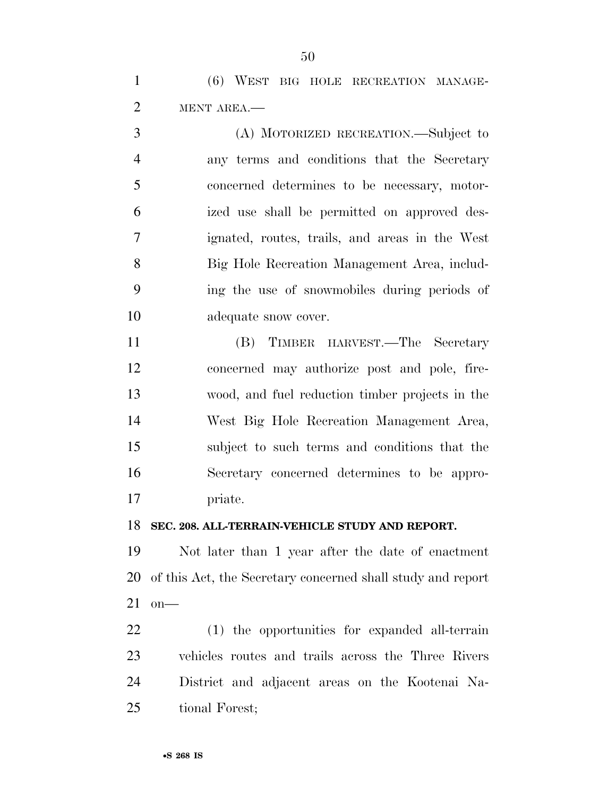(6) WEST BIG HOLE RECREATION MANAGE-MENT AREA.—

 (A) MOTORIZED RECREATION.—Subject to any terms and conditions that the Secretary concerned determines to be necessary, motor- ized use shall be permitted on approved des- ignated, routes, trails, and areas in the West Big Hole Recreation Management Area, includ- ing the use of snowmobiles during periods of adequate snow cover.

 (B) TIMBER HARVEST.—The Secretary concerned may authorize post and pole, fire- wood, and fuel reduction timber projects in the West Big Hole Recreation Management Area, subject to such terms and conditions that the Secretary concerned determines to be appro-priate.

**SEC. 208. ALL-TERRAIN-VEHICLE STUDY AND REPORT.** 

 Not later than 1 year after the date of enactment of this Act, the Secretary concerned shall study and report on—

 (1) the opportunities for expanded all-terrain vehicles routes and trails across the Three Rivers District and adjacent areas on the Kootenai Na-tional Forest;